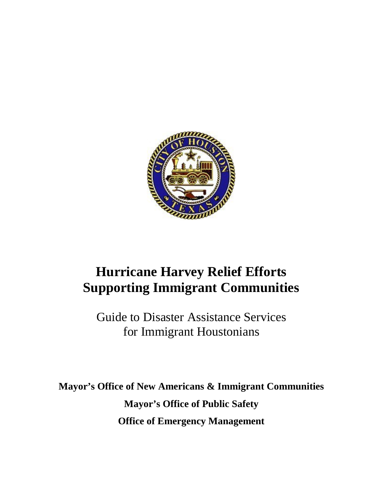

# **Hurricane Harvey Relief Efforts Supporting Immigrant Communities**

Guide to Disaster Assistance Services for Immigrant Houstonians

**Mayor's Office of New Americans & Immigrant Communities Mayor's Office of Public Safety Office of Emergency Management**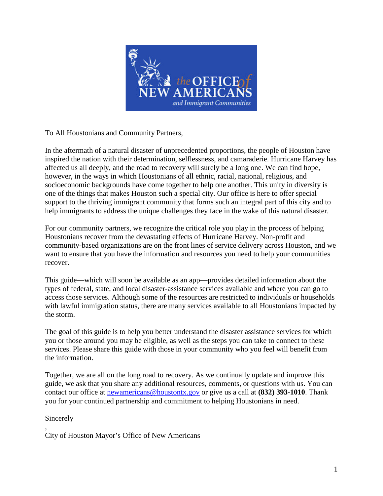

To All Houstonians and Community Partners,

In the aftermath of a natural disaster of unprecedented proportions, the people of Houston have inspired the nation with their determination, selflessness, and camaraderie. Hurricane Harvey has affected us all deeply, and the road to recovery will surely be a long one. We can find hope, however, in the ways in which Houstonians of all ethnic, racial, national, religious, and socioeconomic backgrounds have come together to help one another. This unity in diversity is one of the things that makes Houston such a special city. Our office is here to offer special support to the thriving immigrant community that forms such an integral part of this city and to help immigrants to address the unique challenges they face in the wake of this natural disaster.

For our community partners, we recognize the critical role you play in the process of helping Houstonians recover from the devastating effects of Hurricane Harvey. Non-profit and community-based organizations are on the front lines of service delivery across Houston, and we want to ensure that you have the information and resources you need to help your communities recover.

This guide—which will soon be available as an app—provides detailed information about the types of federal, state, and local disaster-assistance services available and where you can go to access those services. Although some of the resources are restricted to individuals or households with lawful immigration status, there are many services available to all Houstonians impacted by the storm.

The goal of this guide is to help you better understand the disaster assistance services for which you or those around you may be eligible, as well as the steps you can take to connect to these services. Please share this guide with those in your community who you feel will benefit from the information.

Together, we are all on the long road to recovery. As we continually update and improve this guide, we ask that you share any additional resources, comments, or questions with us. You can contact our office at [newamericans@houstontx.gov](mailto:newamericans@houstontx.gov) or give us a call at **(832) 393-1010**. Thank you for your continued partnership and commitment to helping Houstonians in need.

Sincerely

, City of Houston Mayor's Office of New Americans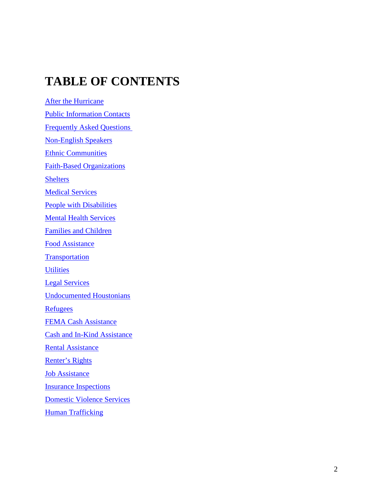# **TABLE OF CONTENTS**

<span id="page-2-0"></span>[After the Hurricane](#page-3-0)  [Public Information Contacts](#page-4-0)  [Frequently Asked Questions](#page-5-0) [Non-English Speakers](#page-8-0) [Ethnic Communities](#page-8-1) [Faith-Based Organizations](#page-12-0) **[Shelters](#page-14-0) [Medical Services](#page-15-0)** [People with Disabilities](#page-17-0) [Mental Health Services](#page-18-0) [Families and Children](#page-19-0) [Food Assistance](#page-20-0) **[Transportation](#page-21-0) [Utilities](#page-22-0)** [Legal Services](#page-22-1) [Undocumented Houstonians](#page-24-0) **[Refugees](#page-2-0)** [FEMA Cash Assistance](#page-25-0) [Cash and In-Kind Assistance](#page-26-0) **[Rental Assistance](#page-27-0)** [Renter's Rights](#page-27-1) [Job Assistance](#page-29-0) [Insurance Inspections](#page-31-0) [Domestic Violence Services](#page-33-0) [Human Trafficking](#page-34-0)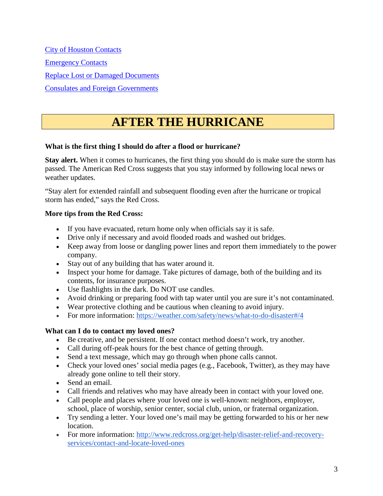[City of Houston Contacts](#page-35-0) [Emergency Contacts](#page-35-1) [Replace Lost or Damaged Documents](#page-36-0) [Consulates and Foreign Governments](#page-39-0)

# **AFTER THE HURRICANE**

# <span id="page-3-0"></span>**What is the first thing I should do after a flood or hurricane?**

**Stay alert.** When it comes to hurricanes, the first thing you should do is make sure the storm has passed. The American Red Cross suggests that you stay informed by following local news or weather updates.

"Stay alert for extended rainfall and subsequent flooding even after the hurricane or tropical storm has ended," says the Red Cross.

# **More tips from the Red Cross:**

- If you have evacuated, return home only when officials say it is safe.
- Drive only if necessary and avoid flooded roads and washed out bridges.
- Keep away from loose or dangling power lines and report them immediately to the power company.
- Stay out of any building that has water around it.
- Inspect your home for damage. Take pictures of damage, both of the building and its contents, for insurance purposes.
- Use flashlights in the dark. Do NOT use candles.
- Avoid drinking or preparing food with tap water until you are sure it's not contaminated.
- Wear protective clothing and be cautious when cleaning to avoid injury.
- For more information:<https://weather.com/safety/news/what-to-do-disaster#/4>

## **What can I do to contact my loved ones?**

- Be creative, and be persistent. If one contact method doesn't work, try another.
- Call during off-peak hours for the best chance of getting through.
- Send a text message, which may go through when phone calls cannot.
- Check your loved ones' social media pages (e.g., Facebook, Twitter), as they may have already gone online to tell their story.
- Send an email.
- Call friends and relatives who may have already been in contact with your loved one.
- Call people and places where your loved one is well-known: neighbors, employer, school, place of worship, senior center, social club, union, or fraternal organization.
- Try sending a letter. Your loved one's mail may be getting forwarded to his or her new location.
- For more information: [http://www.redcross.org/get-help/disaster-relief-and-recovery](http://www.redcross.org/get-help/disaster-relief-and-recovery-services/contact-and-locate-loved-ones)[services/contact-and-locate-loved-ones](http://www.redcross.org/get-help/disaster-relief-and-recovery-services/contact-and-locate-loved-ones)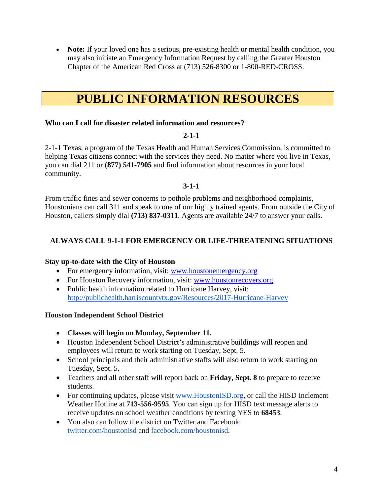• **Note:** If your loved one has a serious, pre-existing health or mental health condition, you may also initiate an Emergency Information Request by calling the Greater Houston Chapter of the American Red Cross at (713) 526-8300 or 1-800-RED-CROSS.

# **PUBLIC INFORMATION RESOURCES**

# <span id="page-4-0"></span>**Who can I call for disaster related information and resources?**

# **2-1-1**

2-1-1 Texas, a program of the Texas Health and Human Services Commission, is committed to helping Texas citizens connect with the services they need. No matter where you live in Texas, you can dial 211 or **(877) 541-7905** and find information about resources in your local community.

# **3-1-1**

From traffic fines and sewer concerns to pothole problems and neighborhood complaints, Houstonians can call 311 and speak to one of our highly trained agents. From outside the City of Houston, callers simply dial **(713) 837-0311**. Agents are available 24/7 to answer your calls.

# **ALWAYS CALL 9-1-1 FOR EMERGENCY OR LIFE-THREATENING SITUATIONS**

# **Stay up-to-date with the City of Houston**

- For emergency information, visit: [www.houstonemergency.org](http://www.houstonemergency.org/)
- For Houston Recovery information, visit: [www.houstonrecovers.org](http://www.houstonrecovers.org/)
- Public health information related to Hurricane Harvey, visit: <http://publichealth.harriscountytx.gov/Resources/2017-Hurricane-Harvey>

## **Houston Independent School District**

- **Classes will begin on Monday, September 11.**
- Houston Independent School District's administrative buildings will reopen and employees will return to work starting on Tuesday, Sept. 5.
- School principals and their administrative staffs will also return to work starting on Tuesday, Sept. 5.
- Teachers and all other staff will report back on **Friday, Sept. 8** to prepare to receive students.
- For continuing updates, please visit [www.HoustonISD.org,](http://track.spe.schoolmessenger.com/f/a/fSzNUsqnVQ6gmiVTjvCGiw%7E%7E/AAAAAQA%7E/RgRbhAzVP0EIAOzEYsIrI8lXB3NjaG9vbG1YBAAAAABCCgADVdmiWWHzxH1SGGRpY2FwdWEuZ2V0bWFuQGdtYWlsLmNvbQlRBAAAAABEGWh0dHA6Ly93d3cuSG91c3RvbklTRC5vcmdHr3siZW1haWxTb3VyY2UiOiJDVVNUT01FUl9KT0IiLCJwZXJzb25pZCI6IjExOTE4ODMiLCJjdXN0b21lcmlkIjoiMzk2NCIsInNlcXVlbmNlIjoiMiIsInVzZXJpZCI6IjE1MTYiLCJzaGFyZGlkIjoiNiIsImpvYmlkIjoiMzMwNzAzIiwic2VudFRpbWVNcyI6IjE1MDM4NDQ2NjM3MzYiLCJlbnYiOiJwcm9kIn0%7E) or call the HISD Inclement Weather Hotline at **713-556-9595**. You can sign up for HISD text message alerts to receive updates on school weather conditions by texting YES to **68453**.
- You also can follow the district on Twitter and Facebook: [twitter.com/houstonisd](http://track.spe.schoolmessenger.com/f/a/7fRjfPy9We2pat4ricU4bw%7E%7E/AAAAAQA%7E/RgRbhAzVP0EIAOzEYsIrI8lXB3NjaG9vbG1YBAAAAABCCgADVdmiWWHzxH1SGGRpY2FwdWEuZ2V0bWFuQGdtYWlsLmNvbQlRBAAAAABEHWh0dHA6Ly90d2l0dGVyLmNvbS9ob3VzdG9uaXNkR697ImVudiI6InByb2QiLCJ1c2VyaWQiOiIxNTE2IiwiY3VzdG9tZXJpZCI6IjM5NjQiLCJzZXF1ZW5jZSI6IjIiLCJzaGFyZGlkIjoiNiIsImVtYWlsU291cmNlIjoiQ1VTVE9NRVJfSk9CIiwic2VudFRpbWVNcyI6IjE1MDM4NDQ2NjM3MzYiLCJwZXJzb25pZCI6IjExOTE4ODMiLCJqb2JpZCI6IjMzMDcwMyJ9) and [facebook.com/houstonisd.](http://track.spe.schoolmessenger.com/f/a/veHWqcdM3q2--bx30i3HNA%7E%7E/AAAAAQA%7E/RgRbhAzVP0EIAOzEYsIrI8lXB3NjaG9vbG1YBAAAAABCCgADVdmiWWHzxH1SGGRpY2FwdWEuZ2V0bWFuQGdtYWlsLmNvbQlRBAAAAABEHmh0dHA6Ly9mYWNlYm9vay5jb20vaG91c3RvbmlzZEeveyJjdXN0b21lcmlkIjoiMzk2NCIsInBlcnNvbmlkIjoiMTE5MTg4MyIsInVzZXJpZCI6IjE1MTYiLCJzaGFyZGlkIjoiNiIsImVtYWlsU291cmNlIjoiQ1VTVE9NRVJfSk9CIiwiam9iaWQiOiIzMzA3MDMiLCJzZXF1ZW5jZSI6IjIiLCJzZW50VGltZU1zIjoiMTUwMzg0NDY2MzczNiIsImVudiI6InByb2QifQ%7E%7E)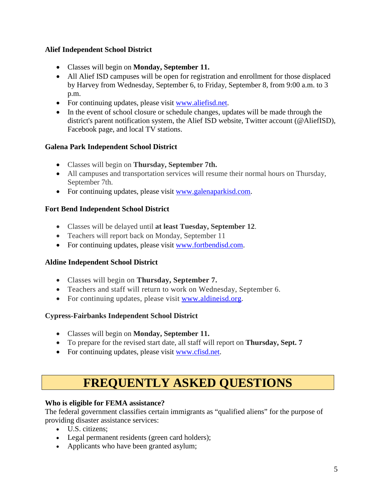# **Alief Independent School District**

- Classes will begin on **Monday, September 11.**
- All Alief ISD campuses will be open for registration and enrollment for those displaced by Harvey from Wednesday, September 6, to Friday, September 8, from 9:00 a.m. to 3 p.m.
- For continuing updates, please visit [www.aliefisd.net.](http://www.aliefisd.net/)
- In the event of school closure or schedule changes, updates will be made through the district's parent notification system, the Alief ISD website, Twitter account (@AliefISD), Facebook page, and local TV stations.

# **Galena Park Independent School District**

- Classes will begin on **Thursday, September 7th.**
- All campuses and transportation services will resume their normal hours on Thursday, September 7th.
- For continuing updates, please visit [www.galenaparkisd.com.](http://www.galenaparkisd.com/)

# **Fort Bend Independent School District**

- Classes will be delayed until **at least Tuesday, September 12**.
- Teachers will report back on Monday, September 11
- For continuing updates, please visit [www.fortbendisd.com.](http://www.fortbendisd.com/)

# **Aldine Independent School District**

- Classes will begin on **Thursday, September 7.**
- Teachers and staff will return to work on Wednesday, September 6.
- For continuing updates, please visit [www.aldineisd.org.](http://www.aldineisd.org/)

# **Cypress-Fairbanks Independent School District**

- Classes will begin on **Monday, September 11.**
- To prepare for the revised start date, all staff will report on **Thursday, Sept. 7**
- For continuing updates, please visit [www.cfisd.net.](http://www.cfisd.net/)

# **FREQUENTLY ASKED QUESTIONS**

# <span id="page-5-0"></span>**Who is eligible for FEMA assistance?**

The federal government classifies certain immigrants as "qualified aliens" for the purpose of providing disaster assistance services:

- U.S. citizens;
- Legal permanent residents (green card holders);
- Applicants who have been granted asylum;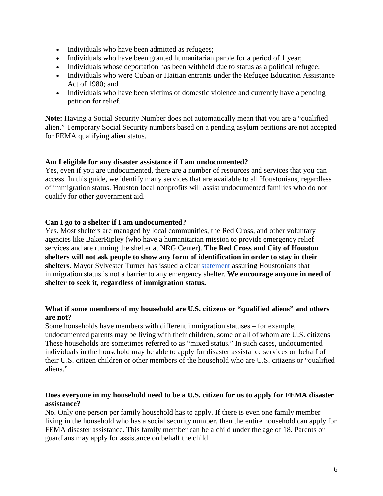- Individuals who have been admitted as refugees;
- Individuals who have been granted humanitarian parole for a period of 1 year;
- Individuals whose deportation has been withheld due to status as a political refugee;
- Individuals who were Cuban or Haitian entrants under the Refugee Education Assistance Act of 1980; and
- Individuals who have been victims of domestic violence and currently have a pending petition for relief.

**Note:** Having a Social Security Number does not automatically mean that you are a "qualified alien." Temporary Social Security numbers based on a pending asylum petitions are not accepted for FEMA qualifying alien status.

# **Am I eligible for any disaster assistance if I am undocumented?**

Yes, even if you are undocumented, there are a number of resources and services that you can access. In this guide, we identify many services that are available to all Houstonians, regardless of immigration status. Houston local nonprofits will assist undocumented families who do not qualify for other government aid.

# **Can I go to a shelter if I am undocumented?**

Yes. Most shelters are managed by local communities, the Red Cross, and other voluntary agencies like BakerRipley (who have a humanitarian mission to provide emergency relief services and are running the shelter at NRG Center). **The Red Cross and City of Houston shelters will not ask people to show any form of identification in order to stay in their shelters.** Mayor Sylvester Turner has issued a clear [statement](https://www.facebook.com/houstonmayor/photos/a.10151873078307535.1073741852.268521702534/10155320870197535/?type=3&theater) assuring Houstonians that immigration status is not a barrier to any emergency shelter. **We encourage anyone in need of shelter to seek it, regardless of immigration status.**

## **What if some members of my household are U.S. citizens or "qualified aliens" and others are not?**

Some households have members with different immigration statuses – for example, undocumented parents may be living with their children, some or all of whom are U.S. citizens. These households are sometimes referred to as "mixed status." In such cases, undocumented individuals in the household may be able to apply for disaster assistance services on behalf of their U.S. citizen children or other members of the household who are U.S. citizens or "qualified aliens."

## **Does everyone in my household need to be a U.S. citizen for us to apply for FEMA disaster assistance?**

No. Only one person per family household has to apply. If there is even one family member living in the household who has a social security number, then the entire household can apply for FEMA disaster assistance. This family member can be a child under the age of 18. Parents or guardians may apply for assistance on behalf the child.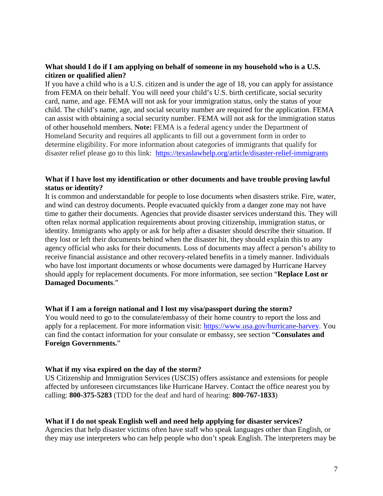## **What should I do if I am applying on behalf of someone in my household who is a U.S. citizen or qualified alien?**

If you have a child who is a U.S. citizen and is under the age of 18, you can apply for assistance from FEMA on their behalf. You will need your child's U.S. birth certificate, social security card, name, and age. FEMA will not ask for your immigration status, only the status of your child. The child's name, age, and social security number are required for the application. FEMA can assist with obtaining a social security number. FEMA will not ask for the immigration status of other household members. **Note:** FEMA is a federal agency under the Department of Homeland Security and requires all applicants to fill out a government form in order to determine eligibility. For more information about categories of immigrants that qualify for disaster relief please go to this link: <https://texaslawhelp.org/article/disaster-relief-immigrants>

### **What if I have lost my identification or other documents and have trouble proving lawful status or identity?**

It is common and understandable for people to lose documents when disasters strike. Fire, water, and wind can destroy documents. People evacuated quickly from a danger zone may not have time to gather their documents. Agencies that provide disaster services understand this. They will often relax normal application requirements about proving citizenship, immigration status, or identity. Immigrants who apply or ask for help after a disaster should describe their situation. If they lost or left their documents behind when the disaster hit, they should explain this to any agency official who asks for their documents. Loss of documents may affect a person's ability to receive financial assistance and other recovery-related benefits in a timely manner. Individuals who have lost important documents or whose documents were damaged by Hurricane Harvey should apply for replacement documents. For more information, see section "**Replace Lost or Damaged Documents**."

#### **What if I am a foreign national and I lost my visa/passport during the storm?**

You would need to go to the consulate/embassy of their home country to report the loss and apply for a replacement. For more information visit: [https://www.usa.gov/hurricane-harvey.](https://www.usa.gov/hurricane-harvey) You can find the contact information for your consulate or embassy, see section "**Consulates and Foreign Governments.**"

#### **What if my visa expired on the day of the storm?**

US Citizenship and Immigration Services (USCIS) offers assistance and extensions for people affected by unforeseen circumstances like Hurricane Harvey. Contact the office nearest you by calling: **[800-375-5283](tel:(800)%20375-5283)** (TDD for the deaf and hard of hearing: **[800-767-1833](tel:(800)%20767-1833)**)

#### **What if I do not speak English well and need help applying for disaster services?**

Agencies that help disaster victims often have staff who speak languages other than English, or they may use interpreters who can help people who don't speak English. The interpreters may be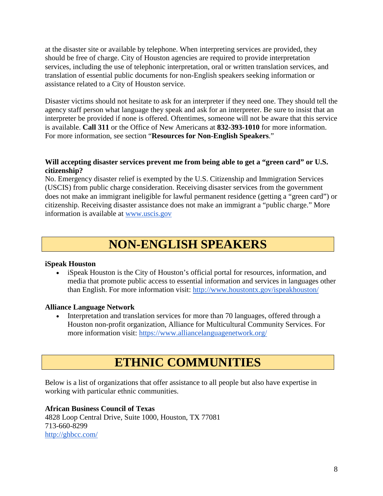at the disaster site or available by telephone. When interpreting services are provided, they should be free of charge. City of Houston agencies are required to provide interpretation services, including the use of telephonic interpretation, oral or written translation services, and translation of essential public documents for non-English speakers seeking information or assistance related to a City of Houston service.

Disaster victims should not hesitate to ask for an interpreter if they need one. They should tell the agency staff person what language they speak and ask for an interpreter. Be sure to insist that an interpreter be provided if none is offered. Oftentimes, someone will not be aware that this service is available. **Call 311** or the Office of New Americans at **832-393-1010** for more information. For more information, see section "**Resources for Non-English Speakers**."

# **Will accepting disaster services prevent me from being able to get a "green card" or U.S. citizenship?**

No. Emergency disaster relief is exempted by the U.S. Citizenship and Immigration Services (USCIS) from public charge consideration. Receiving disaster services from the government does not make an immigrant ineligible for lawful permanent residence (getting a "green card") or citizenship. Receiving disaster assistance does not make an immigrant a "public charge." More information is available at [www.uscis.gov](http://www.uscis.gov/)

# **NON-ENGLISH SPEAKERS**

# <span id="page-8-0"></span>**iSpeak Houston**

• iSpeak Houston is the City of Houston's official portal for resources, information, and media that promote public access to essential information and services in languages other than English. For more information visit:<http://www.houstontx.gov/ispeakhouston/>

# **Alliance Language Network**

• Interpretation and translation services for more than 70 languages, offered through a Houston non-profit organization, Alliance for Multicultural Community Services. For more information visit:<https://www.alliancelanguagenetwork.org/>

# **ETHNIC COMMUNITIES**

<span id="page-8-1"></span>Below is a list of organizations that offer assistance to all people but also have expertise in working with particular ethnic communities.

# **African Business Council of Texas**

4828 Loop Central Drive, Suite 1000, Houston, TX 77081 713-660-8299 <http://ghbcc.com/>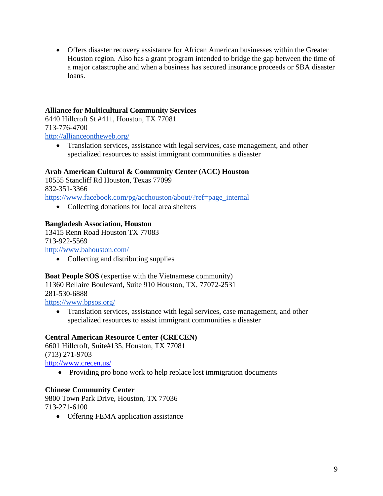• Offers disaster recovery assistance for African American businesses within the Greater Houston region. Also has a grant program intended to bridge the gap between the time of a major catastrophe and when a business has secured insurance proceeds or SBA disaster loans.

# **Alliance for Multicultural Community Services**

6440 Hillcroft St #411, Houston, TX 77081 713-776-4700 <http://allianceontheweb.org/>

• Translation services, assistance with legal services, case management, and other specialized resources to assist immigrant communities a disaster

# **Arab American Cultural & Community Center (ACC) Houston**

10555 Stancliff Rd Houston, Texas 77099 832-351-3366 [https://www.facebook.com/pg/acchouston/about/?ref=page\\_internal](https://www.facebook.com/pg/acchouston/about/?ref=page_internal)

• Collecting donations for local area shelters

## **Bangladesh Association, Houston**

13415 Renn Road Houston TX 77083 713-922-5569 <http://www.bahouston.com/>

• Collecting and distributing supplies

## **Boat People SOS** (expertise with the Vietnamese community)

11360 Bellaire Boulevard, Suite 910 Houston, TX, 77072-2531 281-530-6888

<https://www.bpsos.org/>

• Translation services, assistance with legal services, case management, and other specialized resources to assist immigrant communities a disaster

## **Central American Resource Center (CRECEN)**

6601 Hillcroft, Suite#135, Houston, TX 77081 (713) 271-9703 <http://www.crecen.us/> • Providing pro bono work to help replace lost immigration documents

## **Chinese Community Center**

9800 Town Park Drive, Houston, TX 77036 713-271-6100

• Offering FEMA application assistance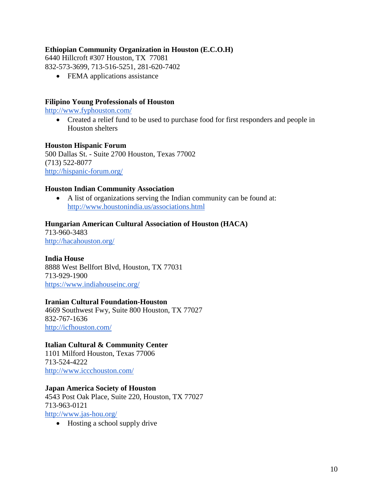# **Ethiopian Community Organization in Houston (E.C.O.H)**

6440 Hillcroft #307 Houston, TX 77081 832-573-3699, 713-516-5251, 281-620-7402

• FEMA applications assistance

# **Filipino Young Professionals of Houston**

<http://www.fyphouston.com/>

• Created a relief fund to be used to purchase food for first responders and people in Houston shelters

## **Houston Hispanic Forum**

500 Dallas St. - Suite 2700 Houston, Texas 77002 (713) 522-8077 <http://hispanic-forum.org/>

## **Houston Indian Community Association**

• A list of organizations serving the Indian community can be found at: <http://www.houstonindia.us/associations.html>

## **Hungarian American Cultural Association of Houston (HACA)**

713-960-3483 <http://hacahouston.org/>

## **India House**

8888 West Bellfort Blvd, Houston, TX 77031 713-929-1900 <https://www.indiahouseinc.org/>

## **Iranian Cultural Foundation-Houston**

4669 Southwest Fwy, Suite 800 Houston, TX 77027 832-767-1636 <http://icfhouston.com/>

## **Italian Cultural & Community Center**

1101 Milford Houston, Texas 77006 713-524-4222 <http://www.iccchouston.com/>

## **Japan America Society of Houston**

4543 Post Oak Place, Suite 220, Houston, TX 77027 713-963-0121 <http://www.jas-hou.org/>

• Hosting a school supply drive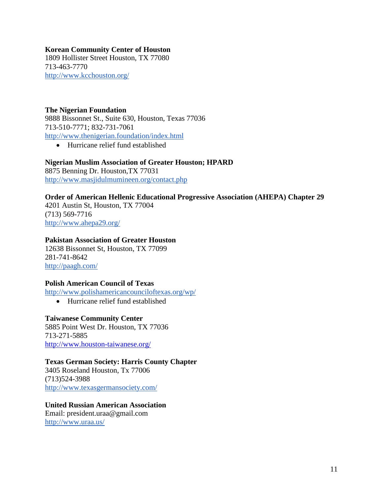# **Korean Community Center of Houston**

1809 Hollister Street Houston, TX 77080 713-463-7770 <http://www.kcchouston.org/>

**The Nigerian Foundation** 9888 Bissonnet St., Suite 630, Houston, Texas 77036 713-510-7771; 832-731-7061 <http://www.thenigerian.foundation/index.html>

• Hurricane relief fund established

**Nigerian Muslim Association of Greater Houston; HPARD** 8875 Benning Dr. Houston,TX 77031 <http://www.masjidulmumineen.org/contact.php>

**Order of American Hellenic Educational Progressive Association (AHEPA) Chapter 29** 4201 Austin St, Houston, TX 77004 (713) 569-7716

<http://www.ahepa29.org/>

### **Pakistan Association of Greater Houston**

12638 Bissonnet St, Houston, TX 77099 281-741-8642 <http://paagh.com/>

# **Polish American Council of Texas**

<http://www.polishamericancounciloftexas.org/wp/>

• Hurricane relief fund established

## **Taiwanese Community Center**

5885 Point West Dr. Houston, TX 77036 713-271-5885 <http://www.houston-taiwanese.org/>

# **Texas German Society: Harris County Chapter**

3405 Roseland Houston, Tx 77006 (713)524-3988 <http://www.texasgermansociety.com/>

**United Russian American Association** Email: president.uraa@gmail.com <http://www.uraa.us/>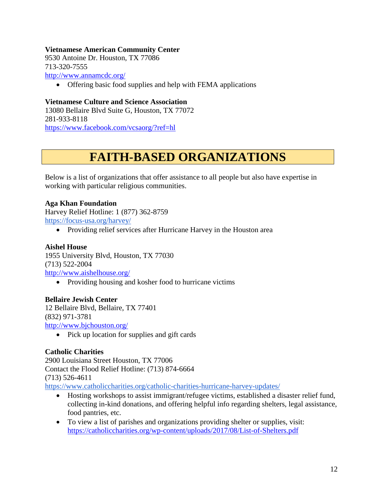# **Vietnamese American Community Center**

9530 Antoine Dr. Houston, TX 77086 713-320-7555 <http://www.annamcdc.org/>

• Offering basic food supplies and help with FEMA applications

# **Vietnamese Culture and Science Association**

13080 Bellaire Blvd Suite G, Houston, TX 77072 281-933-8118 <https://www.facebook.com/vcsaorg/?ref=hl>

# **FAITH-BASED ORGANIZATIONS**

<span id="page-12-0"></span>Below is a list of organizations that offer assistance to all people but also have expertise in working with particular religious communities.

## **Aga Khan Foundation**

Harvey Relief Hotline: 1 (877) 362-8759 <https://focus-usa.org/harvey/>

• Providing relief services after Hurricane Harvey in the Houston area

# **Aishel House**

1955 University Blvd, Houston, TX 77030 [\(713\) 522-2004](tel:713-522-2004) <http://www.aishelhouse.org/>

• Providing housing and kosher food to hurricane victims

# **Bellaire Jewish Center**

12 Bellaire Blvd, Bellaire, TX 77401 [\(832\) 971-3781](tel:832-971-3781) <http://www.bjchouston.org/>

• Pick up location for supplies and gift cards

## **Catholic Charities**

2900 Louisiana Street Houston, TX 77006 Contact the Flood Relief Hotline: (713) 874-6664 (713) 526-4611

<https://www.catholiccharities.org/catholic-charities-hurricane-harvey-updates/>

- Hosting workshops to assist immigrant/refugee victims, established a disaster relief fund, collecting in-kind donations, and offering helpful info regarding shelters, legal assistance, food pantries, etc.
- To view a list of parishes and organizations providing shelter or supplies, visit: <https://catholiccharities.org/wp-content/uploads/2017/08/List-of-Shelters.pdf>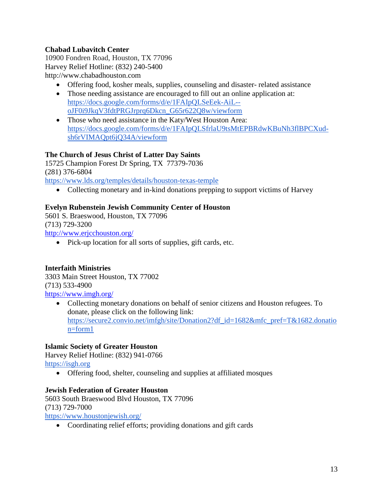# **Chabad Lubavitch Center**

10900 Fondren Road, Houston, TX 77096 Harvey Relief Hotline: (832) 240-5400 http://www.chabadhouston.com

- Offering food, kosher meals, supplies, counseling and disaster- related assistance
- Those needing assistance are encouraged to fill out an online application at: [https://docs.google.com/forms/d/e/1FAIpQLSeEek-AiL-](https://docs.google.com/forms/d/e/1FAIpQLSeEek-AiL--oJF0i9JkqV3fdtPRGJrprq6Dkcn_G65r622Q8w/viewform) [oJF0i9JkqV3fdtPRGJrprq6Dkcn\\_G65r622Q8w/viewform](https://docs.google.com/forms/d/e/1FAIpQLSeEek-AiL--oJF0i9JkqV3fdtPRGJrprq6Dkcn_G65r622Q8w/viewform)
- Those who need assistance in the Katy/West Houston Area: [https://docs.google.com/forms/d/e/1FAIpQLSfrlaU9tsMtEPBRdwKBuNh3flBPCXud](https://docs.google.com/forms/d/e/1FAIpQLSfrlaU9tsMtEPBRdwKBuNh3flBPCXud-sh6rVIMAQpt6jQ34A/viewform)[sh6rVIMAQpt6jQ34A/viewform](https://docs.google.com/forms/d/e/1FAIpQLSfrlaU9tsMtEPBRdwKBuNh3flBPCXud-sh6rVIMAQpt6jQ34A/viewform)

# **The Church of Jesus Christ of Latter Day Saints**

15725 Champion Forest Dr Spring, TX 77379-7036 (281) 376-6804

<https://www.lds.org/temples/details/houston-texas-temple>

• Collecting monetary and in-kind donations prepping to support victims of Harvey

# **Evelyn Rubenstein Jewish Community Center of Houston**

5601 S. Braeswood, Houston, TX 77096 (713) 729-3200 <http://www.erjcchouston.org/>

• Pick-up location for all sorts of supplies, gift cards, etc.

# **Interfaith Ministries**

3303 Main Street Houston, TX 77002 (713) 533-4900 <https://www.imgh.org/>

• Collecting monetary donations on behalf of senior citizens and Houston refugees. To donate, please click on the following link: [https://secure2.convio.net/imfgh/site/Donation2?df\\_id=1682&mfc\\_pref=T&1682.donatio](https://secure2.convio.net/imfgh/site/Donation2?df_id=1682&mfc_pref=T&1682.donation=form1) [n=form1](https://secure2.convio.net/imfgh/site/Donation2?df_id=1682&mfc_pref=T&1682.donation=form1)

# **Islamic Society of Greater Houston**

Harvey Relief Hotline: (832) 941-0766 [https://isgh.org](https://isgh.org/)

• Offering food, shelter, counseling and supplies at affiliated mosques

# **Jewish Federation of Greater Houston**

5603 South Braeswood Blvd Houston, TX 77096 (713) 729-7000 <https://www.houstonjewish.org/>

• Coordinating relief efforts; providing donations and gift cards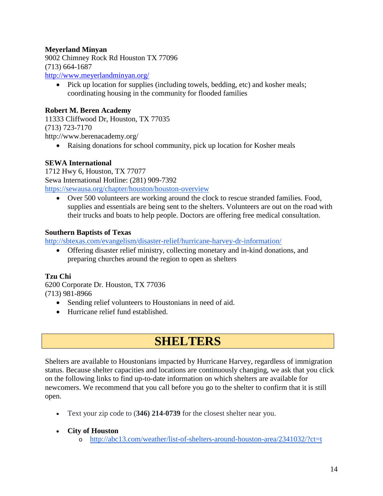# **Meyerland Minyan**

9002 Chimney Rock Rd Houston TX 77096 [\(713\) 664-1687](tel:713-664-1687)

<http://www.meyerlandminyan.org/>

• Pick up location for supplies (including towels, bedding, etc) and kosher meals; coordinating housing in the community for flooded families

# **Robert M. Beren Academy**

11333 Cliffwood Dr, Houston, TX 77035 (713) 723-7170 http://www.berenacademy.org/

• Raising donations for school community, pick up location for Kosher meals

# **SEWA International**

1712 Hwy 6, Houston, TX 77077 Sewa International Hotline: (281) 909-7392 <https://sewausa.org/chapter/houston/houston-overview>

• Over 500 volunteers are working around the clock to rescue stranded families. Food, supplies and essentials are being sent to the shelters. Volunteers are out on the road with their trucks and boats to help people. Doctors are offering free medical consultation.

## **Southern Baptists of Texas**

<http://sbtexas.com/evangelism/disaster-relief/hurricane-harvey-dr-information/>

• Offering disaster relief ministry, collecting monetary and in-kind donations, and preparing churches around the region to open as shelters

## **Tzu Chi**

6200 Corporate Dr. Houston, TX 77036 (713) 981-8966

- Sending relief volunteers to Houstonians in need of aid.
- Hurricane relief fund established.

# **SHELTERS**

<span id="page-14-0"></span>Shelters are available to Houstonians impacted by Hurricane Harvey, regardless of immigration status. Because shelter capacities and locations are continuously changing, we ask that you click on the following links to find up-to-date information on which shelters are available for newcomers. We recommend that you call before you go to the shelter to confirm that it is still open.

- Text your zip code to (**346) 214-0739** for the closest shelter near you.
- **City of Houston**
	- o <http://abc13.com/weather/list-of-shelters-around-houston-area/2341032/?ct=t>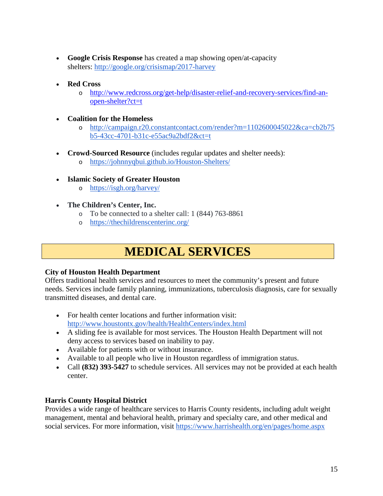- **Google Crisis Response** has created a map showing open/at-capacity shelters: <http://google.org/crisismap/2017-harvey>
- **Red Cross**
	- o [http://www.redcross.org/get-help/disaster-relief-and-recovery-services/find-an](http://www.redcross.org/get-help/disaster-relief-and-recovery-services/find-an-open-shelter?ct=t)[open-shelter?ct=t](http://www.redcross.org/get-help/disaster-relief-and-recovery-services/find-an-open-shelter?ct=t)
- **Coalition for the Homeless**
	- o [http://campaign.r20.constantcontact.com/render?m=1102600045022&ca=cb2b75](http://campaign.r20.constantcontact.com/render?m=1102600045022&ca=cb2b75b5-43cc-4701-b31c-e55ac9a2bdf2&ct=t) [b5-43cc-4701-b31c-e55ac9a2bdf2&ct=t](http://campaign.r20.constantcontact.com/render?m=1102600045022&ca=cb2b75b5-43cc-4701-b31c-e55ac9a2bdf2&ct=t)
- **Crowd-Sourced Resource** (includes regular updates and shelter needs):
	- o <https://johnnyqbui.github.io/Houston-Shelters/>
- **Islamic Society of Greater Houston** 
	- o <https://isgh.org/harvey/>
- **The Children's Center, Inc.**
	- o To be connected to a shelter call: 1 (844) 763-8861
	- o <https://thechildrenscenterinc.org/>

# **MEDICAL SERVICES**

## <span id="page-15-0"></span>**City of Houston Health Department**

Offers traditional health services and resources to meet the community's present and future needs. Services include family planning, immunizations, tuberculosis diagnosis, care for sexually transmitted diseases, and dental care.

- For health center locations and further information visit: <http://www.houstontx.gov/health/HealthCenters/index.html>
- A sliding fee is available for most services. The Houston Health Department will not deny access to services based on inability to pay.
- Available for patients with or without insurance.
- Available to all people who live in Houston regardless of immigration status.
- Call **(832) 393-5427** to schedule services. All services may not be provided at each health center.

# **Harris County Hospital District**

Provides a wide range of healthcare services to Harris County residents, including adult weight management, mental and behavioral health, primary and specialty care, and other medical and social services. For more information, visit<https://www.harrishealth.org/en/pages/home.aspx>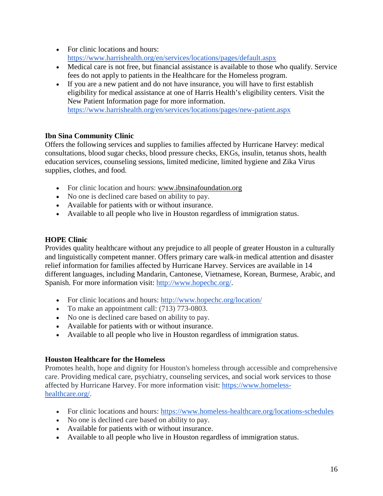- For clinic locations and hours: <https://www.harrishealth.org/en/services/locations/pages/default.aspx>
- Medical care is not free, but financial assistance is available to those who qualify. Service fees do not apply to patients in the Healthcare for the Homeless program.
- If you are a new patient and do not have insurance, you will have to first establish eligibility for medical assistance at one of Harris Health's eligibility centers. Visit the New Patient Information page for more information. <https://www.harrishealth.org/en/services/locations/pages/new-patient.aspx>

# **Ibn Sina Community Clinic**

Offers the following services and supplies to families affected by Hurricane Harvey: medical consultations, blood sugar checks, blood pressure checks, EKGs, insulin, tetanus shots, health education services, counseling sessions, limited medicine, limited hygiene and Zika Virus supplies, clothes, and food.

- For clinic location and hours: [www.ibnsinafoundation.org](http://www.ibsinafoundation.org/)
- No one is declined care based on ability to pay.
- Available for patients with or without insurance.
- Available to all people who live in Houston regardless of immigration status.

# **HOPE Clinic**

Provides quality healthcare without any prejudice to all people of greater Houston in a culturally and linguistically competent manner. Offers primary care walk-in medical attention and disaster relief information for families affected by Hurricane Harvey. Services are available in 14 different languages, including Mandarin, Cantonese, Vietnamese, Korean, Burmese, Arabic, and Spanish. For more information visit: [http://www.hopechc.org/.](http://www.hopechc.org/)

- For clinic locations and hours:<http://www.hopechc.org/location/>
- To make an appointment call: (713) 773-0803.
- No one is declined care based on ability to pay.
- Available for patients with or without insurance.
- Available to all people who live in Houston regardless of immigration status.

# **Houston Healthcare for the Homeless**

Promotes health, hope and dignity for Houston's homeless through accessible and comprehensive care. Providing medical care, psychiatry, counseling services, and social work services to those affected by Hurricane Harvey. For more information visit: [https://www.homeless](https://www.homeless-healthcare.org/)[healthcare.org/.](https://www.homeless-healthcare.org/)

- For clinic locations and hours:<https://www.homeless-healthcare.org/locations-schedules>
- No one is declined care based on ability to pay.
- Available for patients with or without insurance.
- Available to all people who live in Houston regardless of immigration status.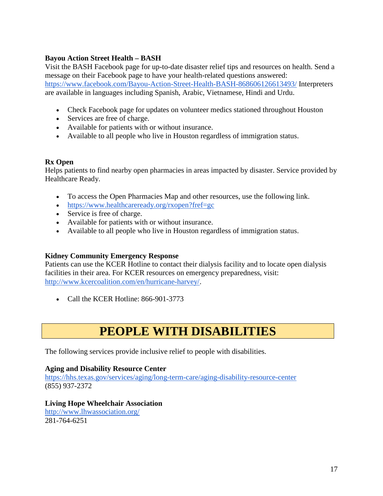# **Bayou Action Street Health – BASH**

Visit the BASH Facebook page for up-to-date disaster relief tips and resources on health. Send a message on their Facebook page to have your health-related questions answered: <https://www.facebook.com/Bayou-Action-Street-Health-BASH-868606126613493/> Interpreters are available in languages including Spanish, Arabic, Vietnamese, Hindi and Urdu.

- Check Facebook page for updates on volunteer medics stationed throughout Houston
- Services are free of charge.
- Available for patients with or without insurance.
- Available to all people who live in Houston regardless of immigration status.

# **Rx Open**

Helps patients to find nearby open pharmacies in areas impacted by disaster. Service provided by Healthcare Ready.

- To access the Open Pharmacies Map and other resources, use the following link.
- <https://www.healthcareready.org/rxopen?fref=gc>
- Service is free of charge.
- Available for patients with or without insurance.
- Available to all people who live in Houston regardless of immigration status.

# **Kidney Community Emergency Response**

Patients can use the KCER Hotline to contact their dialysis facility and to locate open dialysis facilities in their area. For KCER resources on emergency preparedness, visit: [http://www.kcercoalition.com/en/hurricane-harvey/.](http://www.kcercoalition.com/en/hurricane-harvey/)

• Call the KCER Hotline: 866-901-3773

# **PEOPLE WITH DISABILITIES**

<span id="page-17-0"></span>The following services provide inclusive relief to people with disabilities.

# **Aging and Disability Resource Center**

<https://hhs.texas.gov/services/aging/long-term-care/aging-disability-resource-center> (855) 937-2372

# **Living Hope Wheelchair Association**

<http://www.lhwassociation.org/> 281-764-6251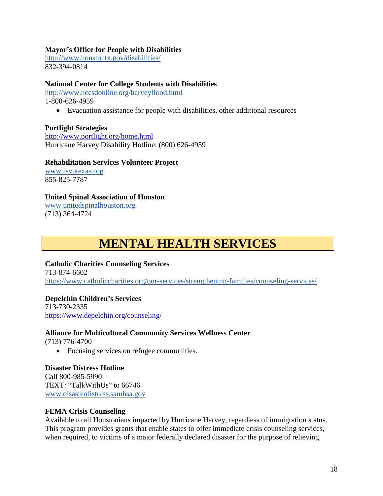# **Mayor's Office for People with Disabilities**

<http://www.houstontx.gov/disabilities/> 832-394-0814

# **National Center for College Students with Disabilities**

<http://www.nccsdonline.org/harveyflood.html>

1-800-626-4959

• Evacuation assistance for people with disabilities, other additional resources

# **Portlight Strategies**

<http://www.portlight.org/home.html> Hurricane Harvey Disability Hotline: (800) 626-4959

## **Rehabilitation Services Volunteer Project**

[www.rsvptexas.org](http://www.rsvptexas.org/) 855-825-7787

# **United Spinal Association of Houston**

[www.unitedspinalhouston.org](http://www.unitedspinalhouston.org/)  (713) 364-4724

# **MENTAL HEALTH SERVICES**

<span id="page-18-0"></span>**Catholic Charities Counseling Services** 713-874-6602 <https://www.catholiccharities.org/our-services/strengthening-families/counseling-services/>

**Depelchin Children's Services** 713-730-2335 <https://www.depelchin.org/counseling/>

# **Alliance for Multicultural Community Services Wellness Center**

(713) 776-4700

• Focusing services on refugee communities.

# **Disaster Distress Hotline**

Call 800-985-5990 TEXT: "TalkWithUs" to 66746 [www.disasterdistress.samhsa.gov](http://www.disasterdistress.samhsa.gov/)

# **FEMA Crisis Counseling**

Available to all Houstonians impacted by Hurricane Harvey, regardless of immigration status. This program provides grants that enable states to offer immediate crisis counseling services, when required, to victims of a major federally declared disaster for the purpose of relieving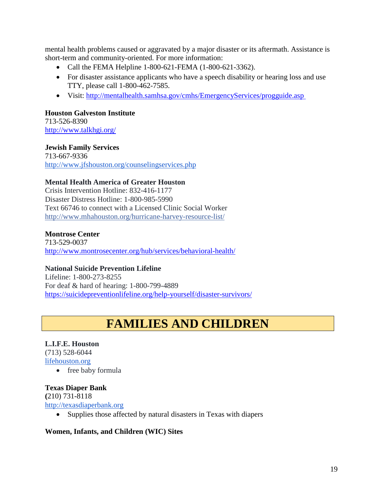mental health problems caused or aggravated by a major disaster or its aftermath. Assistance is short-term and community-oriented. For more information:

- Call the FEMA Helpline 1-800-621-FEMA (1-800-621-3362).
- For disaster assistance applicants who have a speech disability or hearing loss and use TTY, please call 1-800-462-7585.
- Visit: [http://mentalhealth.samhsa.gov/cmhs/EmergencyServices/progguide.asp](http://mentalhealth.samhsa.gov/cmhs/EmergencyServices/progguide.asp%C2%A0)

## **Houston Galveston Institute**

713-526-8390 <http://www.talkhgi.org/>

# **Jewish Family Services**

713-667-9336 <http://www.jfshouston.org/counselingservices.php>

## **Mental Health America of Greater Houston**

Crisis Intervention Hotline: 832-416-1177 Disaster Distress Hotline: 1-800-985-5990 Text 66746 to connect with a Licensed Clinic Social Worker <http://www.mhahouston.org/hurricane-harvey-resource-list/>

# **Montrose Center**

713-529-0037 <http://www.montrosecenter.org/hub/services/behavioral-health/>

## **National Suicide Prevention Lifeline**

Lifeline: 1-800-273-8255 For deaf & hard of hearing: 1-800-799-4889 <https://suicidepreventionlifeline.org/help-yourself/disaster-survivors/>

# **FAMILIES AND CHILDREN**

## <span id="page-19-0"></span>**L.I.F.E. Houston**

(713) 528-6044 [lifehouston.org](http://lifehouston.org/)

• free baby formula

#### **Texas Diaper Bank (**210) 731-8118

[http://texasdiaperbank.org](http://texasdiaperbank.org/)

• Supplies those affected by natural disasters in Texas with diapers

## **Women, Infants, and Children (WIC) Sites**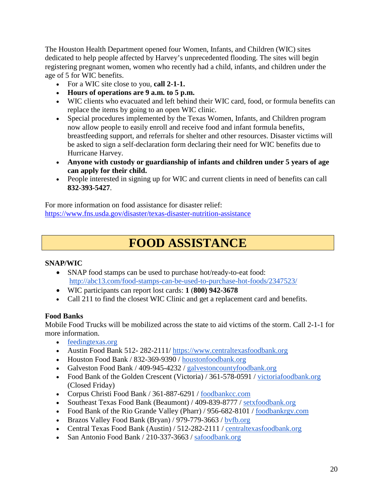The Houston Health Department opened four Women, Infants, and Children (WIC) sites dedicated to help people affected by Harvey's unprecedented flooding. The sites will begin registering pregnant women, women who recently had a child, infants, and children under the age of 5 for WIC benefits.

- For a WIC site close to you, **call 2-1-1.**
- **Hours of operations are 9 a.m. to 5 p.m.**
- WIC clients who evacuated and left behind their WIC card, food, or formula benefits can replace the items by going to an open WIC clinic.
- Special procedures implemented by the Texas Women, Infants, and Children program now allow people to easily enroll and receive food and infant formula benefits, breastfeeding support, and referrals for shelter and other resources. Disaster victims will be asked to sign a self-declaration form declaring their need for WIC benefits due to Hurricane Harvey.
- **Anyone with custody or guardianship of infants and children under 5 years of age can apply for their child.**
- People interested in signing up for WIC and current clients in need of benefits can call **832-393-5427**.

For more information on food assistance for disaster relief: <https://www.fns.usda.gov/disaster/texas-disaster-nutrition-assistance>

# **FOOD ASSISTANCE**

## <span id="page-20-0"></span>**SNAP/WIC**

- SNAP food stamps can be used to purchase hot/ready-to-eat food: <http://abc13.com/food-stamps-can-be-used-to-purchase-hot-foods/2347523/>
- WIC participants can report lost cards: **1** (**800) 942-3678**
- Call 211 to find the closest WIC Clinic and get a replacement card and benefits.

# **Food Banks**

Mobile Food Trucks will be mobilized across the state to aid victims of the storm. Call 2-1-1 for more information.

- [feedingtexas.org](https://www.feedingtexas.org/)
- Austin Food Bank 512-282-2111/ [https://www.centraltexasfoodbank.org](https://www.centraltexasfoodbank.org/)
- Houston Food Bank / 832-369-9390 / [houstonfoodbank.org](http://www.houstonfoodbank.org/)
- Galveston Food Bank / 409-945-4232 / galvestoncountyfoodbank.org
- Food Bank of the Golden Crescent (Victoria) / 361-578-0591 / [victoriafoodbank.org](http://victoriafoodbank.org/) (Closed Friday)
- Corpus Christi Food Bank / 361-887-6291 / [foodbankcc.com](http://foodbankcc.com/)
- Southeast Texas Food Bank (Beaumont) / 409-839-8777 / [setxfoodbank.org](http://setxfoodbank.org/)
- Food Bank of the Rio Grande Valley (Pharr) / 956-682-8101 / foodbankrgy.com
- Brazos Valley Food Bank (Bryan) / 979-779-3663 / byfb.org
- Central Texas Food Bank (Austin) / 512-282-2111 / [centraltexasfoodbank.org](http://centraltexasfoodbank.org/)
- San Antonio Food Bank / 210-337-3663 / [safoodbank.org](http://safoodbank.org/)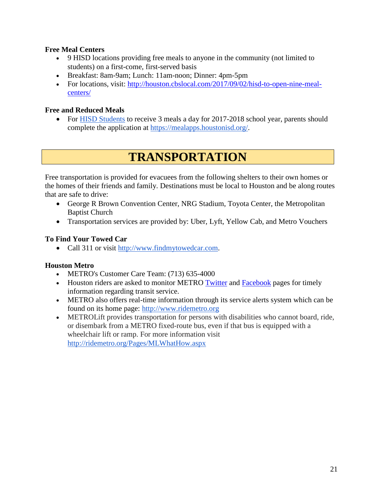# **Free Meal Centers**

- 9 HISD locations providing free meals to anyone in the community (not limited to students) on a first-come, first-served basis
- Breakfast: 8am-9am; Lunch: 11am-noon; Dinner: 4pm-5pm
- For locations, visit: [http://houston.cbslocal.com/2017/09/02/hisd-to-open-nine-meal](http://houston.cbslocal.com/2017/09/02/hisd-to-open-nine-meal-centers/)[centers/](http://houston.cbslocal.com/2017/09/02/hisd-to-open-nine-meal-centers/)

# **Free and Reduced Meals**

• For [HISD Students](http://www.khou.com/news/local/hisd-students-to-receive-three-free-meals-a-day-for-2017-2018-school-year/469242616) to receive 3 meals a day for 2017-2018 school year, parents should complete the application at [https://mealapps.houstonisd.org/.](https://mealapps.houstonisd.org/)

# **TRANSPORTATION**

<span id="page-21-0"></span>Free transportation is provided for evacuees from the following shelters to their own homes or the homes of their friends and family. Destinations must be local to Houston and be along routes that are safe to drive:

- George R Brown Convention Center, NRG Stadium, Toyota Center, the Metropolitan Baptist Church
- Transportation services are provided by: Uber, Lyft, Yellow Cab, and Metro Vouchers

# **To Find Your Towed Car**

• Call 311 or visit [http://www.findmytowedcar.com.](http://www.findmytowedcar.com/)

# **Houston Metro**

- METRO's Customer Care Team: (713) 635-4000
- Houston riders are asked to monitor METRO [Twitter](https://na01.safelinks.protection.outlook.com/?url=https%3A%2F%2Ftwitter.com%2FMETROHouston&data=01%7C01%7CLaura.Whitley%40ridemetro.org%7C60c488b500e04a9c62eb08d4ed880990%7C42943d88615547eaabaa7f5951e7c4f1%7C1&sdata=OqQXjny2uwtPIiERgGuPPVRLuU3tiNFOE06vVyJiG4g%3D&reserved=0) and [Facebook](https://na01.safelinks.protection.outlook.com/?url=https%3A%2F%2Fwww.facebook.com%2FRideMETRO%2F&data=01%7C01%7CLaura.Whitley%40ridemetro.org%7C60c488b500e04a9c62eb08d4ed880990%7C42943d88615547eaabaa7f5951e7c4f1%7C1&sdata=jAbKHbCIfOPF9QHhIuQbp2arofqzQNOBqxDijO%2Fyfb0%3D&reserved=0) pages for timely information regarding transit service.
- METRO also offers real-time information through its service alerts system which can be found on its home page: [http://www.ridemetro.org](http://www.ridemetro.org/)
- METROLift provides transportation for persons with disabilities who cannot board, ride, or disembark from a METRO fixed-route bus, even if that bus is equipped with a wheelchair lift or ramp. For more information visit <http://ridemetro.org/Pages/MLWhatHow.aspx>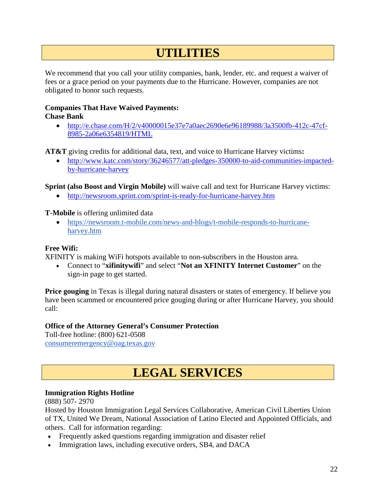# **UTILITIES**

<span id="page-22-0"></span>We recommend that you call your utility companies, bank, lender, etc. and request a waiver of fees or a grace period on your payments due to the Hurricane. However, companies are not obligated to honor such requests.

## **Companies That Have Waived Payments: Chase Bank**

• [http://e.chase.com/H/2/v40000015e37e7a0aec2690e6e96189988/3a3500fb-412c-47cf-](http://e.chase.com/H/2/v40000015e37e7a0aec2690e6e96189988/3a3500fb-412c-47cf-8985-2a06e6354819/HTML)[8985-2a06e6354819/HTML](http://e.chase.com/H/2/v40000015e37e7a0aec2690e6e96189988/3a3500fb-412c-47cf-8985-2a06e6354819/HTML)

**AT&T** giving credits for additional data, text, and voice to Hurricane Harvey victims**:** 

• [http://www.katc.com/story/36246577/att-pledges-350000-to-aid-communities-impacted](http://www.katc.com/story/36246577/att-pledges-350000-to-aid-communities-impacted-by-hurricane-harvey)[by-hurricane-harvey](http://www.katc.com/story/36246577/att-pledges-350000-to-aid-communities-impacted-by-hurricane-harvey)

**Sprint (also Boost and Virgin Mobile)** will waive call and text for Hurricane Harvey victims:

• <http://newsroom.sprint.com/sprint-is-ready-for-hurricane-harvey.htm>

# **T-Mobile** is offering unlimited data

• [https://newsroom.t-mobile.com/news-and-blogs/t-mobile-responds-to-hurricane](https://newsroom.t-mobile.com/news-and-blogs/t-mobile-responds-to-hurricane-harvey.htm)[harvey.htm](https://newsroom.t-mobile.com/news-and-blogs/t-mobile-responds-to-hurricane-harvey.htm)

# **Free Wifi:**

XFINITY is making WiFi hotspots available to non-subscribers in the Houston area.

• Connect to "**xifinitywifi**" and select "**Not an XFINITY Internet Customer**" on the sign-in page to get started.

**Price gouging** in Texas is illegal during natural disasters or states of emergency. If believe you have been scammed or encountered price gouging during or after Hurricane Harvey, you should call:

# **Office of the Attorney General's Consumer Protection**

Toll-free hotline: (800) 621-0508 [consumeremergency@oag.texas.gov](mailto:consumeremergency@oag.texas.gov)

# **LEGAL SERVICES**

# <span id="page-22-1"></span>**Immigration Rights Hotline**

(888) 507- 2970

Hosted by Houston Immigration Legal Services Collaborative, American Civil Liberties Union of TX, United We Dream, National Association of Latino Elected and Appointed Officials, and others. Call for information regarding:

- Frequently asked questions regarding immigration and disaster relief
- Immigration laws, including executive orders, SB4, and DACA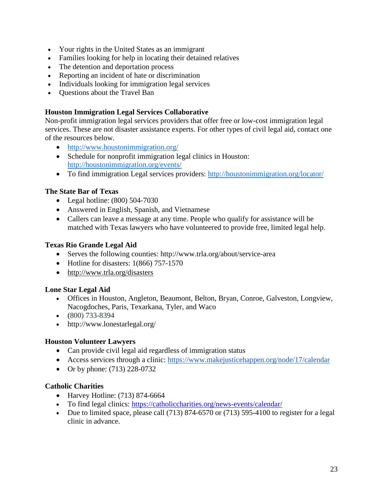- Your rights in the United States as an immigrant
- Families looking for help in locating their detained relatives
- The detention and deportation process
- Reporting an incident of hate or discrimination
- Individuals looking for immigration legal services
- Questions about the Travel Ban

# **Houston Immigration Legal Services Collaborative**

Non-profit immigration legal services providers that offer free or low-cost immigration legal services. These are not disaster assistance experts. For other types of civil legal aid, contact one of the resources below.

- http://www.houstonimmigration.org/
- Schedule for nonprofit immigration legal clinics in Houston: <http://houstonimmigration.org/events/>
- To find immigration Legal services providers: [http://houstonimmigration.org/locator/](http://houstonimmigration.org/events/)

# **The State Bar of Texas**

- Legal hotline: (800) 504-7030
- Answered in English, Spanish, and Vietnamese
- Callers can leave a message at any time. People who qualify for assistance will be matched with Texas lawyers who have volunteered to provide free, limited legal help.

# **Texas Rio Grande Legal Aid**

- Serves the following counties: http://www.trla.org/about/service-area
- Hotline for disasters:  $1(866)$  757-1570
- <http://www.trla.org/disasters>

## **[Lone Star Legal Aid](http://www.trla.org/disasters)**

- [Offices in Houston, Angleton, Beaumont, Belton, Bryan, Conroe, Galveston, Longview,](http://www.trla.org/disasters)  [Nacogdoches, Paris, Texarkana, Tyler, and Waco](http://www.trla.org/disasters)
- [\(800\) 733-8394](http://www.trla.org/disasters)
- [http://www.lonestarlegal.org/](http://www.trla.org/disasters)

## **Houston Volunteer Lawyers**

- Can provide civil legal aid regardless of immigration status
- Access services through a clinic: [https://www.makejusticehappen.org/node/17/calendar](https://na01.safelinks.protection.outlook.com/?url=https%3A%2F%2Fwww.makejusticehappen.org%2Fnode%2F17%2Fcalendar&data=02%7C01%7Cbenito.juarez%40houstontx.gov%7Ca750ba5f9c1d45ce9e0208d4f01a6fb1%7C57a85a10258b45b4a519c96c7721094c%7C0%7C0%7C636397443732675573&sdata=UUMeAoX9Q80uT1dIUdkC2Vp%2FGv37HAZ7hTjn9cqr7KI%3D&reserved=0)
- Or by phone: (713) 228-0732

## **Catholic Charities**

- Harvey Hotline: (713) 874-6664
- To find legal clinics:<https://catholiccharities.org/news-events/calendar/>
- Due to limited space, please call (713) 874-6570 or (713) 595-4100 to register for a legal clinic in advance.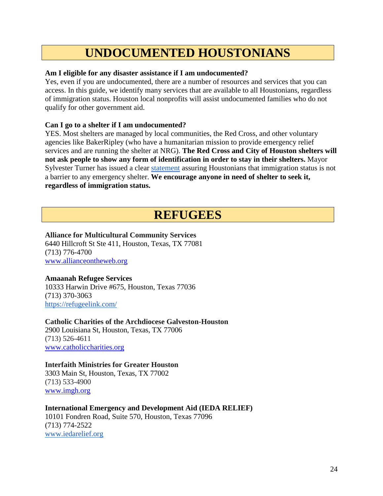# **UNDOCUMENTED HOUSTONIANS**

## <span id="page-24-0"></span>**Am I eligible for any disaster assistance if I am undocumented?**

Yes, even if you are undocumented, there are a number of resources and services that you can access. In this guide, we identify many services that are available to all Houstonians, regardless of immigration status. Houston local nonprofits will assist undocumented families who do not qualify for other government aid.

# **Can I go to a shelter if I am undocumented?**

YES. Most shelters are managed by local communities, the Red Cross, and other voluntary agencies like BakerRipley (who have a humanitarian mission to provide emergency relief services and are running the shelter at NRG). **The Red Cross and City of Houston shelters will not ask people to show any form of identification in order to stay in their shelters.** Mayor Sylvester Turner has issued a clear [statement](https://www.facebook.com/houstonmayor/photos/a.10151873078307535.1073741852.268521702534/10155320870197535/?type=3&theater) assuring Houstonians that immigration status is not a barrier to any emergency shelter. **We encourage anyone in need of shelter to seek it, regardless of immigration status.**

# **REFUGEES**

# **Alliance for Multicultural Community Services**

[6440 Hillcroft St Ste 411, Houston, Texas, TX 77081](http://share.here.com/r/mylocation/e-eyJuYW1lIjoiQWxsaWFuY2UgZm9yIE11bHRpY3VsdHVyYWwgQ29tbXVuaXR5IFNlcnZpY2VzIiwiYWRkcmVzcyI6IjY0NDAgSGlsbGNyb2Z0IFN0IFN0ZSA0MTEsIEhvdXN0b24sIFRleGFzIiwibGF0aXR1ZGUiOjI5LjcxMTIzLCJsb25naXR1ZGUiOi05NS40OTQzMiwicHJvdmlkZXJOYW1lIjoiZmFjZWJvb2siLCJwcm92aWRlcklkIjozMDUwNTAyNjI4NjU1MTh9?link=addresses&fb_locale=en_US&ref=facebook) (713) 776-4700 [www.allianceontheweb.org](http://www.allianceontheweb.org/)

# **Amaanah Refugee Services**

10333 Harwin Drive #675, Houston, Texas 77036 (713) 370-3063 <https://refugeelink.com/>

**Catholic Charities of the Archdiocese Galveston-Houston** 2900 Louisiana St, [Houston, Texas, TX 77006](http://share.here.com/r/mylocation/e-eyJuYW1lIjoiQ2F0aG9saWMgQ2hhcml0aWVzIG9mIHRoZSBBcmNoZGlvY2VzZSBvZiBHYWx2ZXN0b24tSG91c3RvbiIsImFkZHJlc3MiOiIyOTAwIExvdWlzaWFuYSBTdCwgSG91c3RvbiwgVGV4YXMiLCJsYXRpdHVkZSI6MjkuNzQ0ODQ5MzY5NzA1LCJsb25naXR1ZGUiOi05NS4zNzg4NTUyNjAyMjcsInByb3ZpZGVyTmFtZSI6ImZhY2Vib29rIiwicHJvdmlkZXJJZCI6MTExNDk2MDIyMjAwMTM0fQ==?link=addresses&fb_locale=en_US&ref=facebook) (713) 526-4611 [www.catholiccharities.org](http://www.catholiccharities.org/)

## **Interfaith Ministries for Greater Houston**

[3303 Main St, Houston, Texas, TX 77002](http://share.here.com/r/mylocation/e-eyJuYW1lIjoiSW50ZXJmYWl0aCBNaW5pc3RyaWVzIGZvciBHcmVhdGVyIEhvdXN0b24gKE9mZmljaWFsIFBhZ2UpIiwiYWRkcmVzcyI6IjMzMDMgTWFpbiBTdCwgSG91c3RvbiwgVGV4YXMiLCJsYXRpdHVkZSI6MjkuNzQwMzksImxvbmdpdHVkZSI6LTk1LjM3NzQsInByb3ZpZGVyTmFtZSI6ImZhY2Vib29rIiwicHJvdmlkZXJJZCI6MTM3MjE5NDUyNjQ2fQ==?link=addresses&fb_locale=en_US&ref=facebook) (713) 533-4900 [www.imgh.org](http://www.imgh.org/)

# **International Emergency and Development Aid (IEDA RELIEF)**

10101 Fondren Road, Suite 570, Houston, Texas 77096 (713) 774-2522 [www.iedarelief.org](http://www.iedarelief.org/)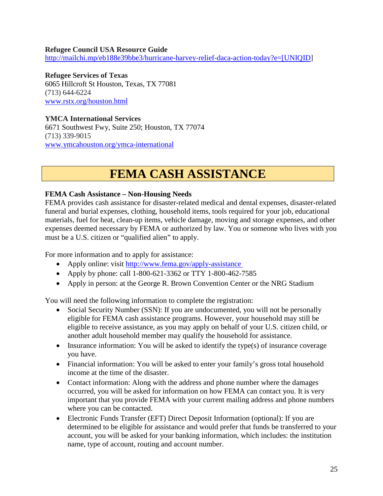## **Refugee Council USA Resource Guide**

[http://mailchi.mp/eb188e39bbe3/hurricane-harvey-relief-daca-action-today?e=\[UNIQID\]](http://mailchi.mp/eb188e39bbe3/hurricane-harvey-relief-daca-action-today?e=%5bUNIQID)

**Refugee Services of Texas**  6065 Hillcroft St Houston, Texas, TX 77081 (713) 644-6224 [www.rstx.org/houston.html](http://www.rstx.org/houston.html)

**YMCA International Services** [6671 Southwest Fwy, Suite 250; Houston, TX 77074](https://goo.gl/maps/9YJTPkyAodn) (713) 339-9015 [www.ymcahouston.org/ymca-international](http://www.ymcahouston.org/ymca-international)

# **FEMA CASH ASSISTANCE**

## <span id="page-25-0"></span>**FEMA Cash Assistance – Non-Housing Needs**

FEMA provides cash assistance for disaster-related medical and dental expenses, disaster-related funeral and burial expenses, clothing, household items, tools required for your job, educational materials, fuel for heat, clean-up items, vehicle damage, moving and storage expenses, and other expenses deemed necessary by FEMA or authorized by law. You or someone who lives with you must be a U.S. citizen or "qualified alien" to apply.

For more information and to apply for assistance:

- Apply online: visit [http://www.fema.gov/apply-assistance](http://www.fema.gov/apply-assistance%C2%A0)
- Apply by phone: call 1-800-621-3362 or TTY 1-800-462-7585
- Apply in person: at the George R. Brown Convention Center or the NRG Stadium

You will need the following information to complete the registration:

- Social Security Number (SSN): If you are undocumented, you will not be personally eligible for FEMA cash assistance programs. However, your household may still be eligible to receive assistance, as you may apply on behalf of your U.S. citizen child, or another adult household member may qualify the household for assistance.
- Insurance information: You will be asked to identify the type(s) of insurance coverage you have.
- Financial information: You will be asked to enter your family's gross total household income at the time of the disaster.
- Contact information: Along with the address and phone number where the damages occurred, you will be asked for information on how FEMA can contact you. It is very important that you provide FEMA with your current mailing address and phone numbers where you can be contacted.
- Electronic Funds Transfer (EFT) Direct Deposit Information (optional): If you are determined to be eligible for assistance and would prefer that funds be transferred to your account, you will be asked for your banking information, which includes: the institution name, type of account, routing and account number.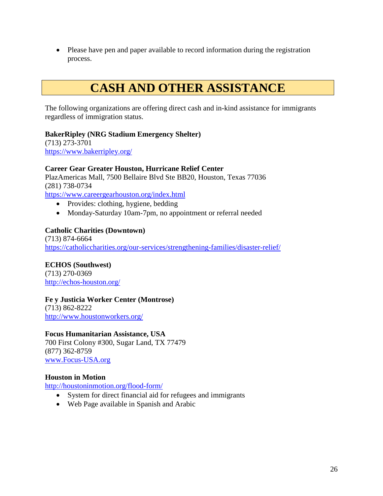• Please have pen and paper available to record information during the registration process.

# **CASH AND OTHER ASSISTANCE**

<span id="page-26-0"></span>The following organizations are offering direct cash and in-kind assistance for immigrants regardless of immigration status.

# **BakerRipley (NRG Stadium Emergency Shelter)**

(713) 273-3701 <https://www.bakerripley.org/>

# **Career Gear Greater Houston, Hurricane Relief Center**

PlazAmericas Mall, 7500 Bellaire Blvd Ste BB20, Houston, Texas 77036 (281) 738-0734

<https://www.careergearhouston.org/index.html>

- Provides: clothing, hygiene, bedding
- Monday-Saturday 10am-7pm, no appointment or referral needed

# **Catholic Charities (Downtown)**

(713) 874-6664 <https://catholiccharities.org/our-services/strengthening-families/disaster-relief/>

# **ECHOS (Southwest)**

(713) 270-0369 <http://echos-houston.org/>

## **Fe y Justicia Worker Center (Montrose)**

(713) 862-8222 <http://www.houstonworkers.org/>

## **Focus Humanitarian Assistance, USA**

700 First Colony #300, Sugar Land, TX 77479 (877) 362-8759 www.Focus-USA.org

# **Houston in Motion**

<http://houstoninmotion.org/flood-form/>

- System for direct financial aid for refugees and immigrants
- Web Page available in Spanish and Arabic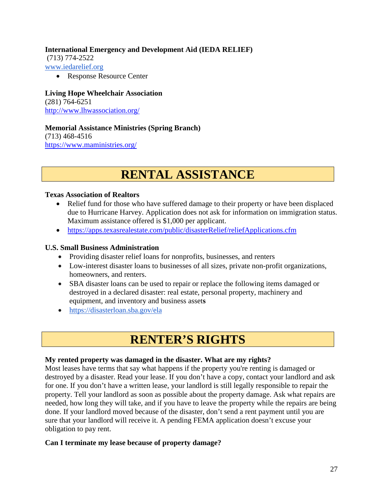# **International Emergency and Development Aid (IEDA RELIEF)**

(713) 774-2522 [www.iedarelief.org](http://www.iedarelief.org/)

• Response Resource Center

**Living Hope Wheelchair Association** (281) 764-6251 <http://www.lhwassociation.org/>

# **Memorial Assistance Ministries (Spring Branch)**

(713) 468-4516 <https://www.maministries.org/>

# **RENTAL ASSISTANCE**

### <span id="page-27-0"></span>**Texas Association of Realtors**

- Relief fund for those who have suffered damage to their property or have been displaced due to Hurricane Harvey. Application does not ask for information on immigration status. Maximum assistance offered is \$1,000 per applicant.
- <https://apps.texasrealestate.com/public/disasterRelief/reliefApplications.cfm>

## **U.S. Small Business Administration**

- Providing disaster relief loans for nonprofits, businesses, and renters
- Low-interest disaster loans to businesses of all sizes, private non-profit organizations, homeowners, and renters.
- SBA disaster loans can be used to repair or replace the following items damaged or destroyed in a declared disaster: real estate, personal property, machinery and equipment, and inventory and business asset**s**
- [https://disasterloan.sba.gov/ela](https://na01.safelinks.protection.outlook.com/?url=https%3A%2F%2Fdisasterloan.sba.gov%2Fela&data=02%7C01%7Cterence.oneill%40houstontx.gov%7Ce2cbac3b84d544cff27a08d4f1812816%7C57a85a10258b45b4a519c96c7721094c%7C0%7C0%7C636398984405631284&sdata=M3kQvvLCymB2U%2FFRSG1NTPThj%2FwsBTYAN8wTTFO8Lm0%3D&reserved=0)

# **RENTER'S RIGHTS**

#### <span id="page-27-1"></span>**My rented property was damaged in the disaster. What are my rights?**

Most leases have terms that say what happens if the property you're renting is damaged or destroyed by a disaster. Read your lease. If you don't have a copy, contact your landlord and ask for one. If you don't have a written lease, your landlord is still legally responsible to repair the property. Tell your landlord as soon as possible about the property damage. Ask what repairs are needed, how long they will take, and if you have to leave the property while the repairs are being done. If your landlord moved because of the disaster, don't send a rent payment until you are sure that your landlord will receive it. A pending FEMA application doesn't excuse your obligation to pay rent.

## **Can I terminate my lease because of property damage?**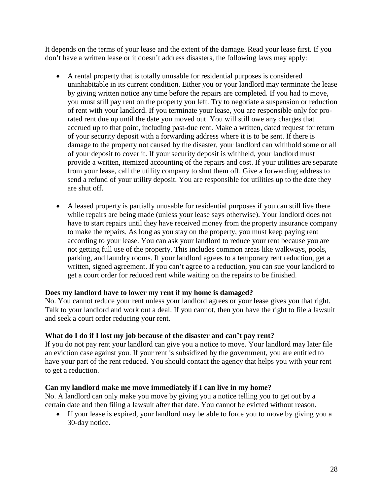It depends on the terms of your lease and the extent of the damage. Read your lease first. If you don't have a written lease or it doesn't address disasters, the following laws may apply:

- A rental property that is totally unusable for residential purposes is considered uninhabitable in its current condition. Either you or your landlord may terminate the lease by giving written notice any time before the repairs are completed. If you had to move, you must still pay rent on the property you left. Try to negotiate a suspension or reduction of rent with your landlord. If you terminate your lease, you are responsible only for prorated rent due up until the date you moved out. You will still owe any charges that accrued up to that point, including past-due rent. Make a written, dated request for return of your security deposit with a forwarding address where it is to be sent. If there is damage to the property not caused by the disaster, your landlord can withhold some or all of your deposit to cover it. If your security deposit is withheld, your landlord must provide a written, itemized accounting of the repairs and cost. If your utilities are separate from your lease, call the utility company to shut them off. Give a forwarding address to send a refund of your utility deposit. You are responsible for utilities up to the date they are shut off.
- A leased property is partially unusable for residential purposes if you can still live there while repairs are being made (unless your lease says otherwise). Your landlord does not have to start repairs until they have received money from the property insurance company to make the repairs. As long as you stay on the property, you must keep paying rent according to your lease. You can ask your landlord to reduce your rent because you are not getting full use of the property. This includes common areas like walkways, pools, parking, and laundry rooms. If your landlord agrees to a temporary rent reduction, get a written, signed agreement. If you can't agree to a reduction, you can sue your landlord to get a court order for reduced rent while waiting on the repairs to be finished.

## **Does my landlord have to lower my rent if my home is damaged?**

No. You cannot reduce your rent unless your landlord agrees or your lease gives you that right. Talk to your landlord and work out a deal. If you cannot, then you have the right to file a lawsuit and seek a court order reducing your rent.

## **What do I do if I lost my job because of the disaster and can't pay rent?**

If you do not pay rent your landlord can give you a notice to move. Your landlord may later file an eviction case against you. If your rent is subsidized by the government, you are entitled to have your part of the rent reduced. You should contact the agency that helps you with your rent to get a reduction.

## **Can my landlord make me move immediately if I can live in my home?**

No. A landlord can only make you move by giving you a notice telling you to get out by a certain date and then filing a lawsuit after that date. You cannot be evicted without reason.

• If your lease is expired, your landlord may be able to force you to move by giving you a 30-day notice.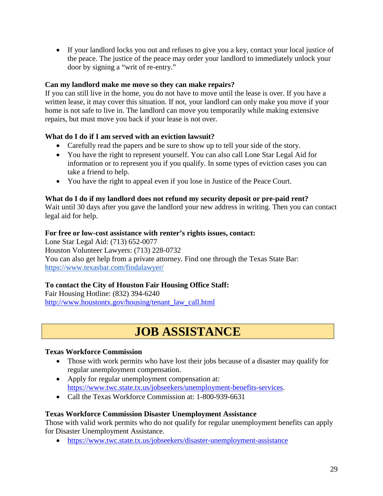• If your landlord locks you out and refuses to give you a key, contact your local justice of the peace. The justice of the peace may order your landlord to immediately unlock your door by signing a "writ of re-entry."

# **Can my landlord make me move so they can make repairs?**

If you can still live in the home, you do not have to move until the lease is over. If you have a written lease, it may cover this situation. If not, your landlord can only make you move if your home is not safe to live in. The landlord can move you temporarily while making extensive repairs, but must move you back if your lease is not over.

# **What do I do if I am served with an eviction lawsuit?**

- Carefully read the papers and be sure to show up to tell your side of the story.
- You have the right to represent yourself. You can also call Lone Star Legal Aid for information or to represent you if you qualify. In some types of eviction cases you can take a friend to help.
- You have the right to appeal even if you lose in Justice of the Peace Court.

# **What do I do if my landlord does not refund my security deposit or pre-paid rent?**

Wait until 30 days after you gave the landlord your new address in writing. Then you can contact legal aid for help.

## **For free or low-cost assistance with renter's rights issues, contact:**

Lone Star Legal Aid: (713) 652-0077 Houston Volunteer Lawyers: (713) 228-0732 You can also get help from a private attorney. Find one through the Texas State Bar: <https://www.texasbar.com/findalawyer/>

# **To contact the City of Houston Fair Housing Office Staff:**

Fair Housing Hotline: (832) 394-6240 [http://www.houstontx.gov/housing/tenant\\_law\\_call.html](http://www.houstontx.gov/housing/tenant_law_call.html)

# **JOB ASSISTANCE**

# <span id="page-29-0"></span>**Texas Workforce Commission**

- Those with work permits who have lost their jobs because of a disaster may qualify for regular unemployment compensation.
- Apply for regular unemployment compensation at: [https://www.twc.state.tx.us/jobseekers/unemployment-benefits-services.](https://www.twc.state.tx.us/jobseekers/unemployment-benefits-services)
- Call the Texas Workforce Commission at: 1-800-939-6631

## **Texas Workforce Commission Disaster Unemployment Assistance**

Those with valid work permits who do not qualify for regular unemployment benefits can apply for Disaster Unemployment Assistance.

• <https://www.twc.state.tx.us/jobseekers/disaster-unemployment-assistance>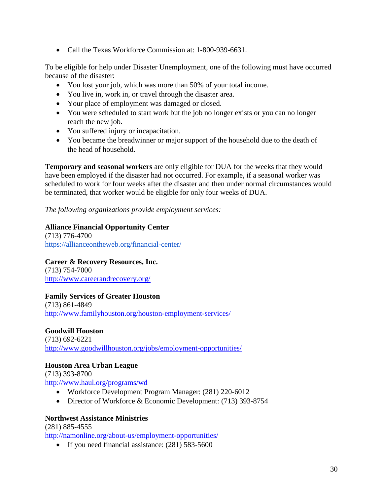• Call the Texas Workforce Commission at: 1-800-939-6631.

To be eligible for help under Disaster Unemployment, one of the following must have occurred because of the disaster:

- You lost your job, which was more than 50% of your total income.
- You live in, work in, or travel through the disaster area.
- Your place of employment was damaged or closed.
- You were scheduled to start work but the job no longer exists or you can no longer reach the new job.
- You suffered injury or incapacitation.
- You became the breadwinner or major support of the household due to the death of the head of household.

**Temporary and seasonal workers** are only eligible for DUA for the weeks that they would have been employed if the disaster had not occurred. For example, if a seasonal worker was scheduled to work for four weeks after the disaster and then under normal circumstances would be terminated, that worker would be eligible for only four weeks of DUA.

*The following organizations provide employment services:*

# **Alliance Financial Opportunity Center**

(713) 776-4700 <https://allianceontheweb.org/financial-center/>

# **Career & Recovery Resources, Inc.**

(713) 754-7000 <http://www.careerandrecovery.org/>

# **Family Services of Greater Houston**

(713) 861-4849 <http://www.familyhouston.org/houston-employment-services/>

# **Goodwill Houston**

(713) 692-6221 <http://www.goodwillhouston.org/jobs/employment-opportunities/>

# **Houston Area Urban League**

(713) 393-8700 <http://www.haul.org/programs/wd>

- Workforce Development Program Manager: (281) 220-6012
- Director of Workforce & Economic Development: (713) 393-8754

# **Northwest Assistance Ministries**

(281) 885-4555 <http://namonline.org/about-us/employment-opportunities/>

• If you need financial assistance: (281) 583-5600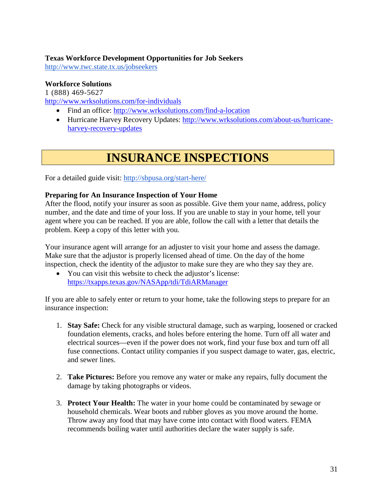# **Texas Workforce Development Opportunities for Job Seekers**

<http://www.twc.state.tx.us/jobseekers>

# **Workforce Solutions**

1 (888) 469-5627

<http://www.wrksolutions.com/for-individuals>

- Find an office:<http://www.wrksolutions.com/find-a-location>
- Hurricane Harvey Recovery Updates: [http://www.wrksolutions.com/about-us/hurricane](http://www.wrksolutions.com/about-us/hurricane-harvey-recovery-updates)[harvey-recovery-updates](http://www.wrksolutions.com/about-us/hurricane-harvey-recovery-updates)

# **INSURANCE INSPECTIONS**

<span id="page-31-0"></span>For a detailed guide visit:<http://sbpusa.org/start-here/>

# **Preparing for An Insurance Inspection of Your Home**

After the flood, notify your insurer as soon as possible. Give them your name, address, policy number, and the date and time of your loss. If you are unable to stay in your home, tell your agent where you can be reached. If you are able, follow the call with a letter that details the problem. Keep a copy of this letter with you.

Your insurance agent will arrange for an adjuster to visit your home and assess the damage. Make sure that the adjustor is properly licensed ahead of time. On the day of the home inspection, check the identity of the adjustor to make sure they are who they say they are.

• You can visit this website to check the adjustor's license: <https://txapps.texas.gov/NASApp/tdi/TdiARManager>

If you are able to safely enter or return to your home, take the following steps to prepare for an insurance inspection:

- 1. **Stay Safe:** Check for any visible structural damage, such as warping, loosened or cracked foundation elements, cracks, and holes before entering the home. Turn off all water and electrical sources—even if the power does not work, find your fuse box and turn off all fuse connections. Contact utility companies if you suspect damage to water, gas, electric, and sewer lines.
- 2. **Take Pictures:** Before you remove any water or make any repairs, fully document the damage by taking photographs or videos.
- 3. **Protect Your Health:** The water in your home could be contaminated by sewage or household chemicals. Wear boots and rubber gloves as you move around the home. Throw away any food that may have come into contact with flood waters. FEMA recommends boiling water until authorities declare the water supply is safe.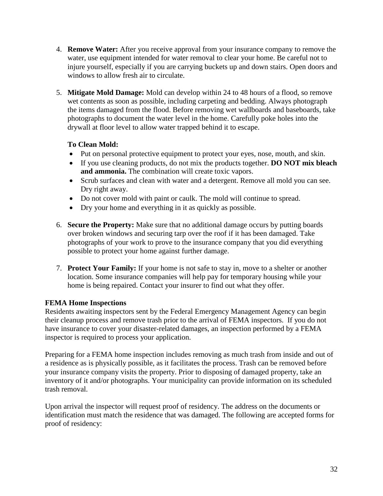- 4. **Remove Water:** After you receive approval from your insurance company to remove the water, use equipment intended for water removal to clear your home. Be careful not to injure yourself, especially if you are carrying buckets up and down stairs. Open doors and windows to allow fresh air to circulate.
- 5. **Mitigate Mold Damage:** Mold can develop within 24 to 48 hours of a flood, so remove wet contents as soon as possible, including carpeting and bedding. Always photograph the items damaged from the flood. Before removing wet wallboards and baseboards, take photographs to document the water level in the home. Carefully poke holes into the drywall at floor level to allow water trapped behind it to escape.

# **To Clean Mold:**

- Put on personal protective equipment to protect your eyes, nose, mouth, and skin.
- If you use cleaning products, do not mix the products together. **DO NOT mix bleach and ammonia.** The combination will create toxic vapors.
- Scrub surfaces and clean with water and a detergent. Remove all mold you can see. Dry right away.
- Do not cover mold with paint or caulk. The mold will continue to spread.
- Dry your home and everything in it as quickly as possible.
- 6. **Secure the Property:** Make sure that no additional damage occurs by putting boards over broken windows and securing tarp over the roof if it has been damaged. Take photographs of your work to prove to the insurance company that you did everything possible to protect your home against further damage.
- 7. **Protect Your Family:** If your home is not safe to stay in, move to a shelter or another location. Some insurance companies will help pay for temporary housing while your home is being repaired. Contact your insurer to find out what they offer.

# **FEMA Home Inspections**

Residents awaiting inspectors sent by the Federal Emergency Management Agency can begin their cleanup process and remove trash prior to the arrival of FEMA inspectors. If you do not have insurance to cover your disaster-related damages, an inspection performed by a FEMA inspector is required to process your application.

Preparing for a FEMA home inspection includes removing as much trash from inside and out of a residence as is physically possible, as it facilitates the process. Trash can be removed before your insurance company visits the property. Prior to disposing of damaged property, take an inventory of it and/or photographs. Your municipality can provide information on its scheduled trash removal.

Upon arrival the inspector will request proof of residency. The address on the documents or identification must match the residence that was damaged. The following are accepted forms for proof of residency: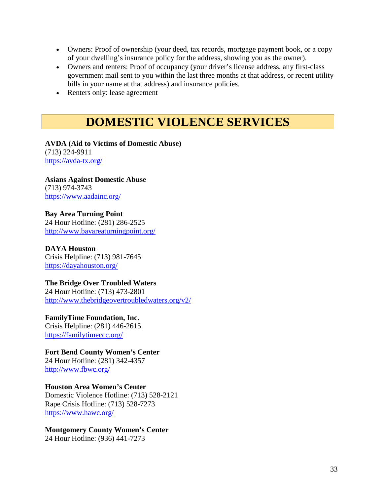- Owners: Proof of ownership (your deed, tax records, mortgage payment book, or a copy of your dwelling's insurance policy for the address, showing you as the owner).
- Owners and renters: Proof of occupancy (your driver's license address, any first-class government mail sent to you within the last three months at that address, or recent utility bills in your name at that address) and insurance policies.
- Renters only: lease agreement

# **DOMESTIC VIOLENCE SERVICES**

<span id="page-33-0"></span>**AVDA (Aid to Victims of Domestic Abuse)** (713) 224-9911 <https://avda-tx.org/>

**Asians Against Domestic Abuse** (713) 974-3743 <https://www.aadainc.org/>

**Bay Area Turning Point** 24 Hour Hotline: (281) 286-2525 <http://www.bayareaturningpoint.org/>

**DAYA Houston** Crisis Helpline: (713) 981-7645 <https://dayahouston.org/>

**The Bridge Over Troubled Waters** 24 Hour Hotline: (713) 473-2801 <http://www.thebridgeovertroubledwaters.org/v2/>

**FamilyTime Foundation, Inc.** Crisis Helpline: (281) 446-2615 <https://familytimeccc.org/>

**Fort Bend County Women's Center** 24 Hour Hotline: (281) 342-4357 <http://www.fbwc.org/>

**Houston Area Women's Center** Domestic Violence Hotline: (713) 528-2121 Rape Crisis Hotline: (713) 528-7273 <https://www.hawc.org/>

**Montgomery County Women's Center** 24 Hour Hotline: (936) 441-7273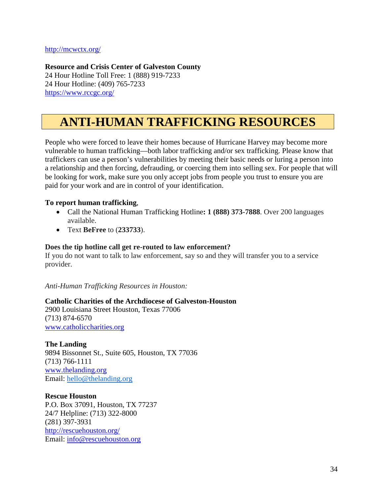#### <http://mcwctx.org/>

**Resource and Crisis Center of Galveston County** 24 Hour Hotline Toll Free: 1 (888) 919-7233 24 Hour Hotline: (409) 765-7233 <https://www.rccgc.org/>

# <span id="page-34-0"></span>**ANTI-HUMAN TRAFFICKING RESOURCES**

People who were forced to leave their homes because of Hurricane Harvey may become more vulnerable to human trafficking—both labor trafficking and/or sex trafficking. Please know that traffickers can use a person's vulnerabilities by meeting their basic needs or luring a person into a relationship and then forcing, defrauding, or coercing them into selling sex. For people that will be looking for work, make sure you only accept jobs from people you trust to ensure you are paid for your work and are in control of your identification.

# **To report human trafficking**,

- Call the National Human Trafficking Hotline**: 1 (888) 373-7888**. Over 200 languages available.
- Text **BeFree** to (**233733**).

## **Does the tip hotline call get re-routed to law enforcement?**

If you do not want to talk to law enforcement, say so and they will transfer you to a service provider.

*Anti-Human Trafficking Resources in Houston:*

## **Catholic Charities of the Archdiocese of Galveston-Houston**

2900 Louisiana Street Houston, Texas 77006 [\(713\) 874-6570](tel:(713)%20874-6570) [www.catholiccharities.org](http://www.catholiccharities.org/)

## **The Landing**

9894 Bissonnet St., Suite 605, Houston, TX 77036 [\(713\) 766-1111](tel:(713)%20766-1111) [www.thelanding.org](http://www.thelanding.org/) Email: [hello@thelanding.org](mailto:hello@thelanding.org)

### **Rescue Houston**

P.O. Box 37091, Houston, TX 77237 24/7 Helpline: [\(713\) 322-8000](tel:(713)%20322-8000) [\(281\) 397-3931](tel:(281)%20397-3931) <http://rescuehouston.org/> Email: [info@rescuehouston.org](mailto:info@rescuehouston.org)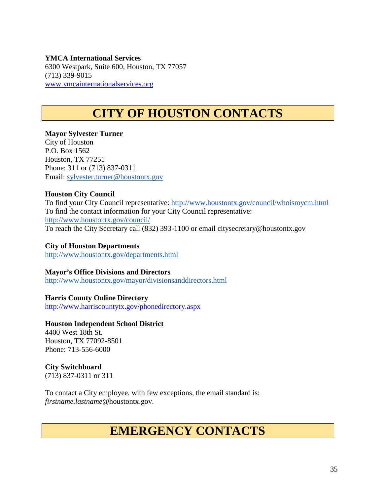# **YMCA International Services**

6300 Westpark, Suite 600, Houston, TX 77057 [\(713\) 339-9015](tel:(713)%20339-9015) [www.ymcainternationalservices.org](http://www.ymcainternationalservices.org/)

# **CITY OF HOUSTON CONTACTS**

<span id="page-35-0"></span>**Mayor Sylvester Turner** City of Houston P.O. Box 1562 Houston, TX 77251 Phone: 311 or (713) 837-0311 Email: [sylvester.turner@houstontx.gov](mailto:sylvester.turner@houstontx.gov)

# **Houston City Council**

To find your City Council representative:<http://www.houstontx.gov/council/whoismycm.html> To find the contact information for your City Council representative: <http://www.houstontx.gov/council/> To reach the City Secretary call (832) 393-1100 or email citysecretary@houstontx.gov

## **City of Houston Departments**

<http://www.houstontx.gov/departments.html>

## **Mayor's Office Divisions and Directors**

<http://www.houstontx.gov/mayor/divisionsanddirectors.html>

## **Harris County Online Directory**

<http://www.harriscountytx.gov/phonedirectory.aspx>

## **Houston Independent School District**

4400 West 18th St. Houston, TX 77092-8501 Phone: 713-556-6000

# **City Switchboard**

(713) 837-0311 or 311

<span id="page-35-1"></span>To contact a City employee, with few exceptions, the email standard is: *firstname.lastname*@houstontx.gov.

# **EMERGENCY CONTACTS**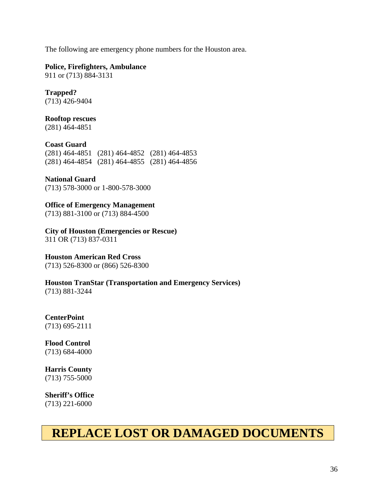The following are emergency phone numbers for the Houston area.

**Police, Firefighters, Ambulance** 911 or (713) 884-3131

**Trapped?** 

(713) 426-9404

**Rooftop rescues**

(281) 464-4851

## **Coast Guard**

(281) 464-4851 (281) 464-4852 (281) 464-4853 (281) 464-4854 (281) 464-4855 (281) 464-4856

## **National Guard**

(713) 578-3000 or 1-800-578-3000

**Office of Emergency Management** (713) 881-3100 or (713) 884-4500

**City of Houston (Emergencies or Rescue)**  311 OR (713) 837-0311

# **Houston American Red Cross**

(713) 526-8300 or (866) 526-8300

**Houston TranStar (Transportation and Emergency Services)** (713) 881-3244

# **CenterPoint**

(713) 695-2111

#### **Flood Control**  (713) 684-4000

#### **Harris County** (713) 755-5000

**Sheriff's Office** (713) 221-6000

# <span id="page-36-0"></span>**REPLACE LOST OR DAMAGED DOCUMENTS**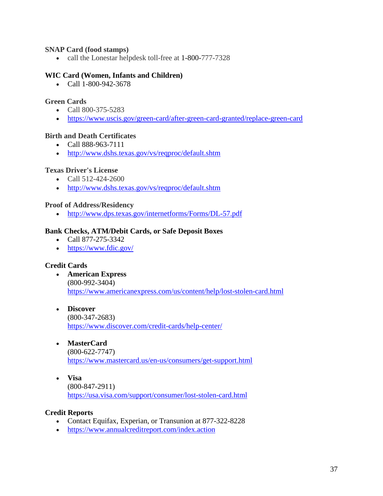# **SNAP Card (food stamps)**

• call the Lonestar helpdesk toll-free at 1-800-777-7328

## **WIC Card (Women, Infants and Children)**

• Call 1-800-942-3678

### **Green Cards**

- Call 800-375-5283
- <https://www.uscis.gov/green-card/after-green-card-granted/replace-green-card>

## **Birth and Death Certificates**

- Call 888-963-7111
- <http://www.dshs.texas.gov/vs/reqproc/default.shtm>

### **Texas Driver's License**

- Call 512-424-2600
- <http://www.dshs.texas.gov/vs/reqproc/default.shtm>

#### **Proof of Address/Residency**

• <http://www.dps.texas.gov/internetforms/Forms/DL-57.pdf>

### **Bank Checks, ATM/Debit Cards, or Safe Deposit Boxes**

- Call 877-275-3342
- <https://www.fdic.gov/>

## **Credit Cards**

- **American Express** (800-992-3404) <https://www.americanexpress.com/us/content/help/lost-stolen-card.html>
- **Discover** (800-347-2683) <https://www.discover.com/credit-cards/help-center/>
- **MasterCard** (800-622-7747) <https://www.mastercard.us/en-us/consumers/get-support.html>
- **Visa** (800-847-2911) <https://usa.visa.com/support/consumer/lost-stolen-card.html>

#### **Credit Reports**

- Contact Equifax, Experian, or Transunion at 877-322-8228
- <https://www.annualcreditreport.com/index.action>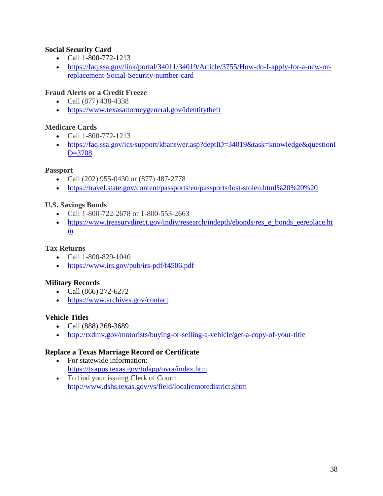# **Social Security Card**

- Call 1-800-772-1213
- [https://faq.ssa.gov/link/portal/34011/34019/Article/3755/How-do-I-apply-for-a-new-or](https://faq.ssa.gov/link/portal/34011/34019/Article/3755/How-do-I-apply-for-a-new-or-replacement-Social-Security-number-card)[replacement-Social-Security-number-card](https://faq.ssa.gov/link/portal/34011/34019/Article/3755/How-do-I-apply-for-a-new-or-replacement-Social-Security-number-card)

# **Fraud Alerts or a Credit Freeze**

- Call (877) 438-4338
- <https://www.texasattorneygeneral.gov/identitytheft>

# **Medicare Cards**

- Call 1-800-772-1213
- [https://faq.ssa.gov/ics/support/kbanswer.asp?deptID=34019&task=knowledge&questionI](https://faq.ssa.gov/ics/support/kbanswer.asp?deptID=34019&task=knowledge&questionID=3708) [D=3708](https://faq.ssa.gov/ics/support/kbanswer.asp?deptID=34019&task=knowledge&questionID=3708)

# **Passport**

- Call (202) 955-0430 or (877) 487-2778
- [https://travel.state.gov/content/passports/en/passports/lost-stolen.html%20%20%20](https://travel.state.gov/content/passports/en/passports/lost-stolen.html)

# **U.S. Savings Bonds**

- Call 1-800-722-2678 or 1-800-553-2663
- [https://www.treasurydirect.gov/indiv/research/indepth/ebonds/res\\_e\\_bonds\\_eereplace.ht](https://www.treasurydirect.gov/indiv/research/indepth/ebonds/res_e_bonds_eereplace.htm) [m](https://www.treasurydirect.gov/indiv/research/indepth/ebonds/res_e_bonds_eereplace.htm)

# **Tax Returns**

- Call 1-800-829-1040
- <https://www.irs.gov/pub/irs-pdf/f4506.pdf>

# **Military Records**

- Call (866) 272-6272
- <https://www.archives.gov/contact>

# **Vehicle Titles**

- Call (888) 368-3689
- <http://txdmv.gov/motorists/buying-or-selling-a-vehicle/get-a-copy-of-your-title>

# **Replace a Texas Marriage Record or Certificate**

- For statewide information: <https://txapps.texas.gov/tolapp/ovra/index.htm>
- To find your issuing Clerk of Court: <http://www.dshs.texas.gov/vs/field/localremotedistrict.shtm>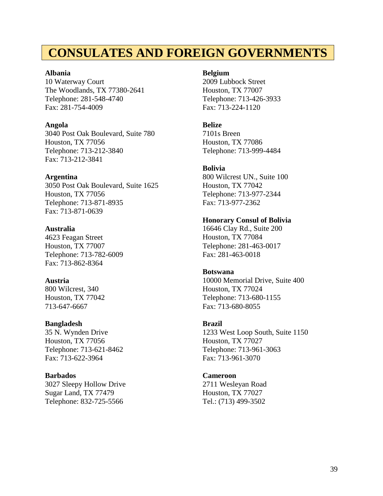# <span id="page-39-0"></span>**CONSULATES AND FOREIGN GOVERNMENTS**

#### **Albania**

10 Waterway Court The Woodlands, TX 77380-2641 Telephone: 281-548-4740 Fax: 281-754-4009

#### **Angola**

3040 Post Oak Boulevard, Suite 780 Houston, TX 77056 Telephone: 713-212-3840 Fax: 713-212-3841

#### **Argentina**

3050 Post Oak Boulevard, Suite 1625 Houston, TX 77056 Telephone: 713-871-8935 Fax: 713-871-0639

#### **Australia**

4623 Feagan Street Houston, TX 77007 Telephone: 713-782-6009 Fax: 713-862-8364

### **Austria**

800 Wilcrest, 340 Houston, TX 77042 713-647-6667

#### **Bangladesh**

35 N. Wynden Drive Houston, TX 77056 Telephone: 713-621-8462 Fax: 713-622-3964

#### **Barbados**

3027 Sleepy Hollow Drive Sugar Land, TX 77479 Telephone: 832-725-5566

# **Belgium**

2009 Lubbock Street Houston, TX 77007 Telephone: 713-426-3933 Fax: 713-224-1120

#### **Belize**

7101s Breen Houston, TX 77086 Telephone: 713-999-4484

## **Bolivia**

800 Wilcrest UN., Suite 100 Houston, TX 77042 Telephone: 713-977-2344 Fax: 713-977-2362

#### **Honorary Consul of Bolivia**

16646 Clay Rd., Suite 200 Houston, TX 77084 Telephone: 281-463-0017 Fax: 281-463-0018

#### **Botswana**

10000 Memorial Drive, Suite 400 Houston, TX 77024 Telephone: 713-680-1155 Fax: 713-680-8055

#### **Brazil**

1233 West Loop South, Suite 1150 Houston, TX 77027 Telephone: 713-961-3063 Fax: 713-961-3070

### **Cameroon**

2711 Wesleyan Road Houston, TX 77027 Tel.: (713) 499-3502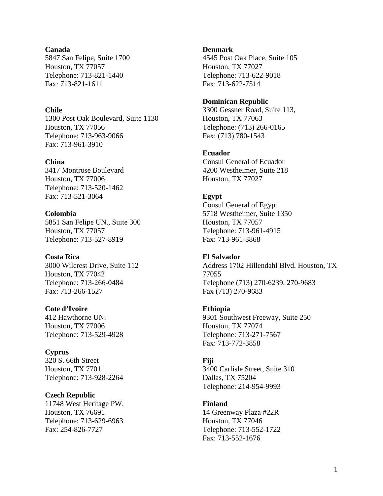### **Canada**

5847 San Felipe, Suite 1700 Houston, TX 77057 Telephone: 713-821-1440 Fax: 713-821-1611

## **Chile**

1300 Post Oak Boulevard, Suite 1130 Houston, TX 77056 Telephone: 713-963-9066 Fax: 713-961-3910

## **China**

3417 Montrose Boulevard Houston, TX 77006 Telephone: 713-520-1462 Fax: 713-521-3064

#### **Colombia**

5851 San Felipe UN., Suite 300 Houston, TX 77057 Telephone: 713-527-8919

#### **Costa Rica**

3000 Wilcrest Drive, Suite 112 Houston, TX 77042 Telephone: 713-266-0484 Fax: 713-266-1527

#### **Cote d'Ivoire**

412 Hawthorne UN. Houston, TX 77006 Telephone: 713-529-4928

#### **Cyprus**

320 S. 66th Street Houston, TX 77011 Telephone: 713-928-2264

#### **Czech Republic**

11748 West Heritage PW. Houston, TX 76691 Telephone: 713-629-6963 Fax: 254-826-7727

#### **Denmark**

4545 Post Oak Place, Suite 105 Houston, TX 77027 Telephone: 713-622-9018 Fax: 713-622-7514

#### **Dominican Republic**

3300 Gessner Road, Suite 113, Houston, TX 77063 Telephone: (713) 266-0165 Fax: (713) 780-1543

#### **Ecuador**

Consul General of Ecuador 4200 Westheimer, Suite 218 Houston, TX 77027

#### **Egypt**

Consul General of Egypt 5718 Westheimer, Suite 1350 Houston, TX 77057 Telephone: 713-961-4915 Fax: 713-961-3868

#### **El Salvador**

Address 1702 Hillendahl Blvd. Houston, TX 77055 Telephone (713) 270-6239, 270-9683 Fax (713) 270-9683

#### **Ethiopia**

9301 Southwest Freeway, Suite 250 Houston, TX 77074 Telephone: 713-271-7567 Fax: 713-772-3858

#### **Fiji**

3400 Carlisle Street, Suite 310 Dallas, TX 75204 Telephone: 214-954-9993

#### **Finland**

14 Greenway Plaza #22R Houston, TX 77046 Telephone: 713-552-1722 Fax: 713-552-1676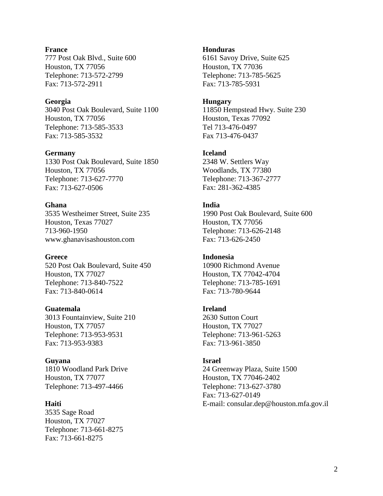### **France**

777 Post Oak Blvd., Suite 600 Houston, TX 77056 Telephone: 713-572-2799 Fax: 713-572-2911

# **Georgia**

3040 Post Oak Boulevard, Suite 1100 Houston, TX 77056 Telephone: 713-585-3533 Fax: 713-585-3532

### **Germany**

1330 Post Oak Boulevard, Suite 1850 Houston, TX 77056 Telephone: 713-627-7770 Fax: 713-627-0506

## **Ghana**

3535 Westheimer Street, Suite 235 Houston, Texas 77027 713-960-1950 www.ghanavisashouston.com

#### **Greece**

520 Post Oak Boulevard, Suite 450 Houston, TX 77027 Telephone: 713-840-7522 Fax: 713-840-0614

#### **Guatemala**

3013 Fountainview, Suite 210 Houston, TX 77057 Telephone: 713-953-9531 Fax: 713-953-9383

# **Guyana**

1810 Woodland Park Drive Houston, TX 77077 Telephone: 713-497-4466

#### **Haiti**

3535 Sage Road Houston, TX 77027 Telephone: 713-661-8275 Fax: 713-661-8275

#### **Honduras**

6161 Savoy Drive, Suite 625 Houston, TX 77036 Telephone: 713-785-5625 Fax: 713-785-5931

### **Hungary**

11850 Hempstead Hwy. Suite 230 Houston, Texas 77092 Tel 713-476-0497 Fax 713-476-0437

#### **Iceland**

2348 W. Settlers Way Woodlands, TX 77380 Telephone: 713-367-2777 Fax: 281-362-4385

### **India**

1990 Post Oak Boulevard, Suite 600 Houston, TX 77056 Telephone: 713-626-2148 Fax: 713-626-2450

#### **Indonesia**

10900 Richmond Avenue Houston, TX 77042-4704 Telephone: 713-785-1691 Fax: 713-780-9644

#### **Ireland**

2630 Sutton Court Houston, TX 77027 Telephone: 713-961-5263 Fax: 713-961-3850

#### **Israel**

24 Greenway Plaza, Suite 1500 Houston, TX 77046-2402 Telephone: 713-627-3780 Fax: 713-627-0149 E-mail: consular.dep@houston.mfa.gov.il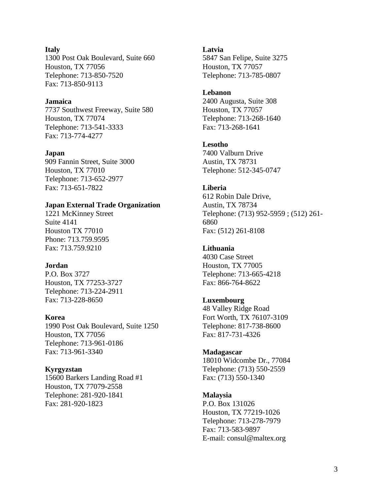### **Italy**

1300 Post Oak Boulevard, Suite 660 Houston, TX 77056 Telephone: 713-850-7520 Fax: 713-850-9113

## **Jamaica**

7737 Southwest Freeway, Suite 580 Houston, TX 77074 Telephone: 713-541-3333 Fax: 713-774-4277

### **Japan**

909 Fannin Street, Suite 3000 Houston, TX 77010 Telephone: 713-652-2977 Fax: 713-651-7822

### **Japan External Trade Organization**

1221 McKinney Street Suite 4141 Houston TX 77010 Phone: 713.759.9595 Fax: 713.759.9210

#### **Jordan**

P.O. Box 3727 Houston, TX 77253-3727 Telephone: 713-224-2911 Fax: 713-228-8650

#### **Korea**

1990 Post Oak Boulevard, Suite 1250 Houston, TX 77056 Telephone: 713-961-0186 Fax: 713-961-3340

## **Kyrgyzstan**

15600 Barkers Landing Road #1 Houston, TX 77079-2558 Telephone: 281-920-1841 Fax: 281-920-1823

#### **Latvia**

5847 San Felipe, Suite 3275 Houston, TX 77057 Telephone: 713-785-0807

### **Lebanon**

2400 Augusta, Suite 308 Houston, TX 77057 Telephone: 713-268-1640 Fax: 713-268-1641

### **Lesotho**

7400 Valburn Drive Austin, TX 78731 Telephone: 512-345-0747

### **Liberia**

612 Robin Dale Drive, Austin, TX 78734 Telephone: (713) 952-5959 ; (512) 261- 6860 Fax: (512) 261-8108

#### **Lithuania**

4030 Case Street Houston, TX 77005 Telephone: 713-665-4218 Fax: 866-764-8622

## **Luxembourg**

48 Valley Ridge Road Fort Worth, TX 76107-3109 Telephone: 817-738-8600 Fax: 817-731-4326

## **Madagascar**

18010 Widcombe Dr., 77084 Telephone: (713) 550-2559 Fax: (713) 550-1340

## **Malaysia**

P.O. Box 131026 Houston, TX 77219-1026 Telephone: 713-278-7979 Fax: 713-583-9897 E-mail: consul@maltex.org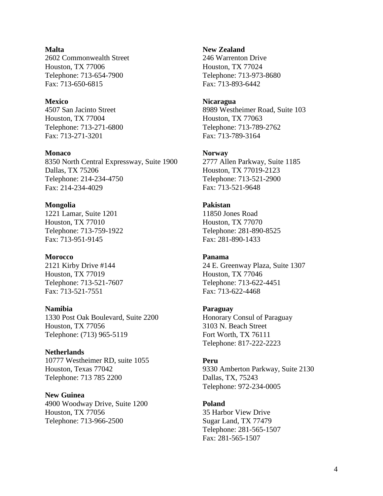#### **Malta**

2602 Commonwealth Street Houston, TX 77006 Telephone: 713-654-7900 Fax: 713-650-6815

## **Mexico**

4507 San Jacinto Street Houston, TX 77004 Telephone: 713-271-6800 Fax: 713-271-3201

### **Monaco**

8350 North Central Expressway, Suite 1900 Dallas, TX 75206 Telephone: 214-234-4750 Fax: 214-234-4029

#### **Mongolia**

1221 Lamar, Suite 1201 Houston, TX 77010 Telephone: 713-759-1922 Fax: 713-951-9145

#### **Morocco**

2121 Kirby Drive #144 Houston, TX 77019 Telephone: 713-521-7607 Fax: 713-521-7551

#### **Namibia**

1330 Post Oak Boulevard, Suite 2200 Houston, TX 77056 Telephone: (713) 965-5119

#### **Netherlands**

10777 Westheimer RD, suite 1055 Houston, Texas 77042 Telephone: 713 785 2200

#### **New Guinea**

4900 Woodway Drive, Suite 1200 Houston, TX 77056 Telephone: 713-966-2500

### **New Zealand**

246 Warrenton Drive Houston, TX 77024 Telephone: 713-973-8680 Fax: 713-893-6442

## **Nicaragua**

8989 Westheimer Road, Suite 103 Houston, TX 77063 Telephone: 713-789-2762 Fax: 713-789-3164

#### **Norway**

2777 Allen Parkway, Suite 1185 Houston, TX 77019-2123 Telephone: 713-521-2900 Fax: 713-521-9648

## **Pakistan**

11850 Jones Road Houston, TX 77070 Telephone: 281-890-8525 Fax: 281-890-1433

#### **Panama**

24 E. Greenway Plaza, Suite 1307 Houston, TX 77046 Telephone: 713-622-4451 Fax: 713-622-4468

#### **Paraguay**

Honorary Consul of Paraguay 3103 N. Beach Street Fort Worth, TX 76111 Telephone: 817-222-2223

#### **Peru**

9330 Amberton Parkway, Suite 2130 Dallas, TX, 75243 Telephone: 972-234-0005

#### **Poland**

35 Harbor View Drive Sugar Land, TX 77479 Telephone: 281-565-1507 Fax: 281-565-1507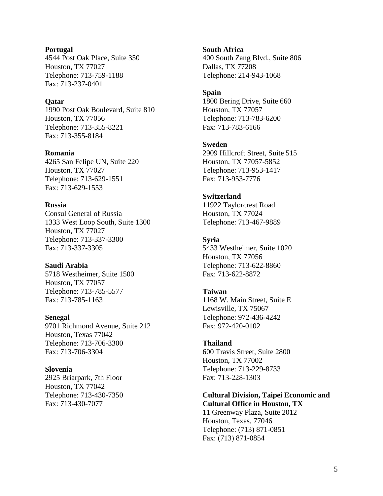#### **Portugal**

4544 Post Oak Place, Suite 350 Houston, TX 77027 Telephone: 713-759-1188 Fax: 713-237-0401

## **Qatar**

1990 Post Oak Boulevard, Suite 810 Houston, TX 77056 Telephone: 713-355-8221 Fax: 713-355-8184

#### **Romania**

4265 San Felipe UN, Suite 220 Houston, TX 77027 Telephone: 713-629-1551 Fax: 713-629-1553

### **Russia**

Consul General of Russia 1333 West Loop South, Suite 1300 Houston, TX 77027 Telephone: 713-337-3300 Fax: 713-337-3305

#### **Saudi Arabia**

5718 Westheimer, Suite 1500 Houston, TX 77057 Telephone: 713-785-5577 Fax: 713-785-1163

#### **Senegal**

9701 Richmond Avenue, Suite 212 Houston, Texas 77042 Telephone: 713-706-3300 Fax: 713-706-3304

#### **Slovenia**

2925 Briarpark, 7th Floor Houston, TX 77042 Telephone: 713-430-7350 Fax: 713-430-7077

#### **South Africa**

400 South Zang Blvd., Suite 806 Dallas, TX 77208 Telephone: 214-943-1068

#### **Spain**

1800 Bering Drive, Suite 660 Houston, TX 77057 Telephone: 713-783-6200 Fax: 713-783-6166

### **Sweden**

2909 Hillcroft Street, Suite 515 Houston, TX 77057-5852 Telephone: 713-953-1417 Fax: 713-953-7776

#### **Switzerland**

11922 Taylorcrest Road Houston, TX 77024 Telephone: 713-467-9889

#### **Syria**

5433 Westheimer, Suite 1020 Houston, TX 77056 Telephone: 713-622-8860 Fax: 713-622-8872

#### **Taiwan**

1168 W. Main Street, Suite E Lewisville, TX 75067 Telephone: 972-436-4242 Fax: 972-420-0102

## **Thailand**

600 Travis Street, Suite 2800 Houston, TX 77002 Telephone: 713-229-8733 Fax: 713-228-1303

## **Cultural Division, Taipei Economic and Cultural Office in Houston, TX**

11 Greenway Plaza, Suite 2012 Houston, Texas, 77046 Telephone: (713) 871-0851 Fax: (713) 871-0854